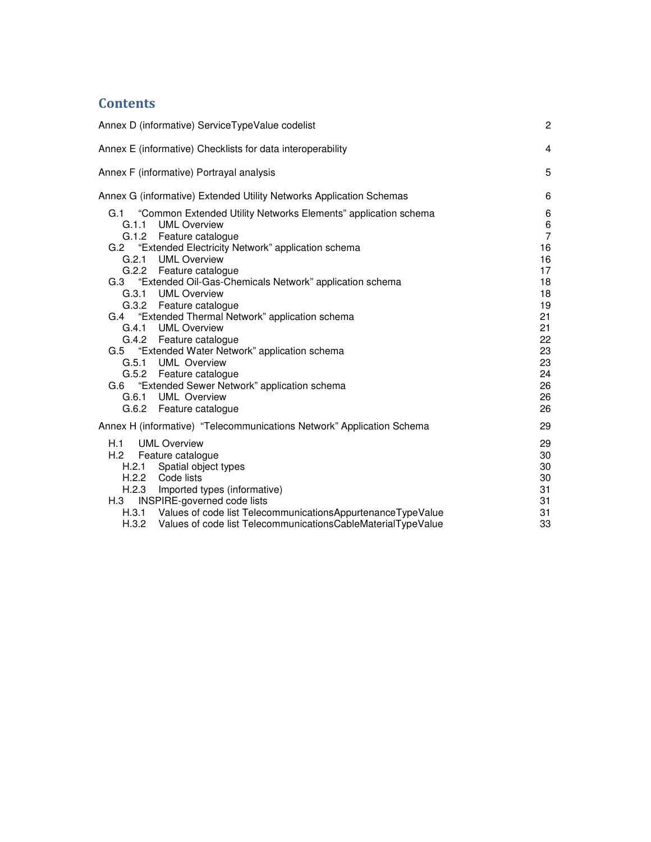## **Contents**

| Annex D (informative) ServiceTypeValue codelist                                                                                                                                                                                                                                                                                                                                                                                                                                                                                                                                                                                                            | $\overline{c}$                                                                                                     |
|------------------------------------------------------------------------------------------------------------------------------------------------------------------------------------------------------------------------------------------------------------------------------------------------------------------------------------------------------------------------------------------------------------------------------------------------------------------------------------------------------------------------------------------------------------------------------------------------------------------------------------------------------------|--------------------------------------------------------------------------------------------------------------------|
| Annex E (informative) Checklists for data interoperability                                                                                                                                                                                                                                                                                                                                                                                                                                                                                                                                                                                                 | $\overline{4}$                                                                                                     |
| Annex F (informative) Portrayal analysis                                                                                                                                                                                                                                                                                                                                                                                                                                                                                                                                                                                                                   | 5                                                                                                                  |
| Annex G (informative) Extended Utility Networks Application Schemas                                                                                                                                                                                                                                                                                                                                                                                                                                                                                                                                                                                        | 6                                                                                                                  |
| G.1 "Common Extended Utility Networks Elements" application schema<br><b>UML Overview</b><br>G.1.1<br>G.1.2<br>Feature catalogue<br>"Extended Electricity Network" application schema<br>G.2<br>G.2.1<br><b>UML Overview</b><br>G.2.2 Feature catalogue<br>G.3 "Extended Oil-Gas-Chemicals Network" application schema<br>G.3.1 UML Overview<br>G.3.2 Feature catalogue<br>G.4 "Extended Thermal Network" application schema<br>G.4.1 UML Overview<br>G.4.2 Feature catalogue<br>G.5 "Extended Water Network" application schema<br>G.5.1 UML Overview<br>G.5.2 Feature catalogue<br>G.6 "Extended Sewer Network" application schema<br>G.6.1 UML Overview | 6<br>$\,6\,$<br>$\overline{7}$<br>16<br>16<br>17<br>18<br>18<br>19<br>21<br>21<br>22<br>23<br>23<br>24<br>26<br>26 |
| G.6.2 Feature catalogue                                                                                                                                                                                                                                                                                                                                                                                                                                                                                                                                                                                                                                    | 26<br>29                                                                                                           |
| Annex H (informative) "Telecommunications Network" Application Schema<br>H.1<br><b>UML Overview</b><br>H.2<br>Feature catalogue<br>Spatial object types<br>H.2.1<br>H.2.2<br>Code lists<br>H.2.3<br>Imported types (informative)<br>INSPIRE-governed code lists<br>H.3<br>H.3.1 Values of code list Telecommunications Appurtenance Type Value<br>H.3.2 Values of code list TelecommunicationsCableMaterialTypeValue                                                                                                                                                                                                                                       | 29<br>30<br>30<br>30<br>31<br>31<br>31<br>33                                                                       |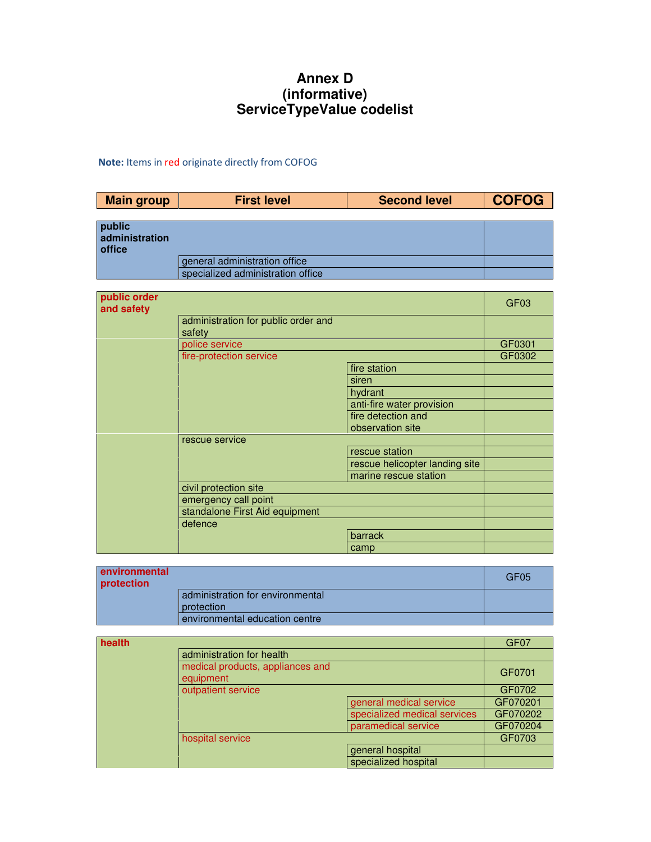## **Annex D (informative) ServiceTypeValue codelist**

## Note: Items in red originate directly from COFOG

| <b>Main group</b>                  | <b>First level</b>                                     | <b>Second level</b>            | <b>COFOG</b>     |
|------------------------------------|--------------------------------------------------------|--------------------------------|------------------|
|                                    |                                                        |                                |                  |
| public<br>administration<br>office |                                                        |                                |                  |
|                                    | general administration office                          |                                |                  |
|                                    | specialized administration office                      |                                |                  |
|                                    |                                                        |                                |                  |
| public order<br>and safety         |                                                        |                                | GF <sub>03</sub> |
|                                    | administration for public order and<br>safety          |                                |                  |
|                                    | police service                                         |                                | GF0301           |
|                                    | fire-protection service                                |                                | GF0302           |
|                                    |                                                        | fire station                   |                  |
|                                    |                                                        | siren                          |                  |
|                                    |                                                        | hydrant                        |                  |
|                                    |                                                        | anti-fire water provision      |                  |
|                                    |                                                        | fire detection and             |                  |
|                                    |                                                        | observation site               |                  |
|                                    | rescue service                                         |                                |                  |
|                                    |                                                        | rescue station                 |                  |
|                                    |                                                        | rescue helicopter landing site |                  |
|                                    |                                                        | marine rescue station          |                  |
|                                    | civil protection site                                  |                                |                  |
|                                    | emergency call point<br>standalone First Aid equipment |                                |                  |
|                                    | defence                                                |                                |                  |
|                                    |                                                        | barrack                        |                  |
|                                    |                                                        | camp                           |                  |
|                                    |                                                        |                                |                  |
| anvironmontal                      |                                                        |                                |                  |

| environmental<br>protection |                                                | GF <sub>05</sub> |
|-----------------------------|------------------------------------------------|------------------|
|                             | administration for environmental<br>protection |                  |
|                             | environmental education centre                 |                  |

| health |                                               |                              | GF <sub>07</sub> |
|--------|-----------------------------------------------|------------------------------|------------------|
|        | administration for health                     |                              |                  |
|        | medical products, appliances and<br>equipment |                              | GF0701           |
|        | outpatient service                            |                              | GF0702           |
|        |                                               | general medical service      | GF070201         |
|        |                                               | specialized medical services | GF070202         |
|        |                                               | paramedical service          | GF070204         |
|        | hospital service                              |                              | GF0703           |
|        |                                               | general hospital             |                  |
|        |                                               | specialized hospital         |                  |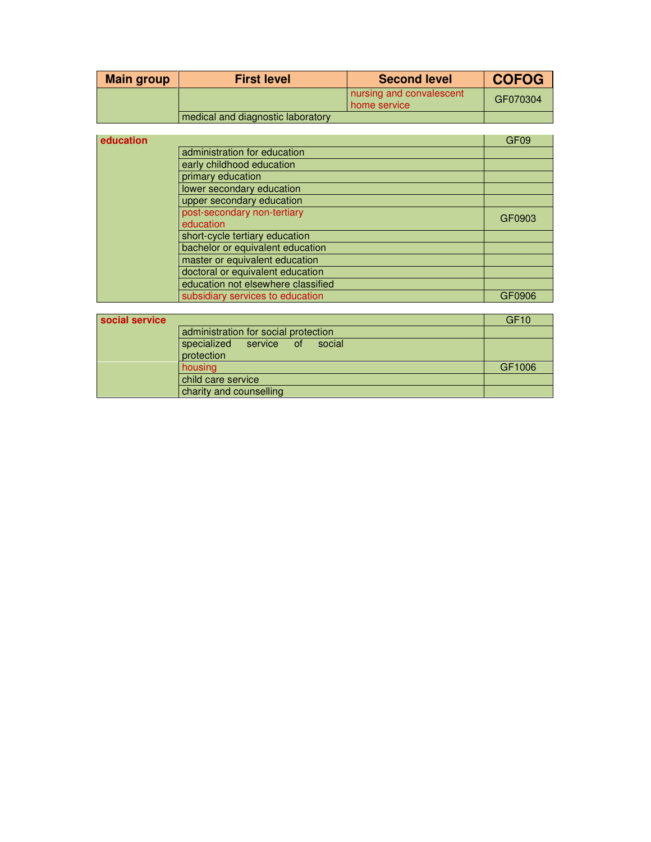| <b>Main group</b> | <b>First level</b>                | <b>Second level</b>                        | <b>COFOG</b> |
|-------------------|-----------------------------------|--------------------------------------------|--------------|
|                   |                                   | nursing and convalescent<br>l home service | GF070304     |
|                   | medical and diagnostic laboratory |                                            |              |

| education |                                    | GF <sub>09</sub> |
|-----------|------------------------------------|------------------|
|           | administration for education       |                  |
|           | early childhood education          |                  |
|           | primary education                  |                  |
|           | lower secondary education          |                  |
|           | upper secondary education          |                  |
|           | post-secondary non-tertiary        | GF0903           |
|           | education                          |                  |
|           | short-cycle tertiary education     |                  |
|           | bachelor or equivalent education   |                  |
|           | master or equivalent education     |                  |
|           | doctoral or equivalent education   |                  |
|           | education not elsewhere classified |                  |
|           | subsidiary services to education   | GF0906           |
|           |                                    |                  |

| social service |                                                   | GF <sub>10</sub> |
|----------------|---------------------------------------------------|------------------|
|                | administration for social protection              |                  |
|                | specialized<br>social<br>service of<br>protection |                  |
|                | housing                                           | GF1006           |
|                | child care service                                |                  |
|                | charity and counselling                           |                  |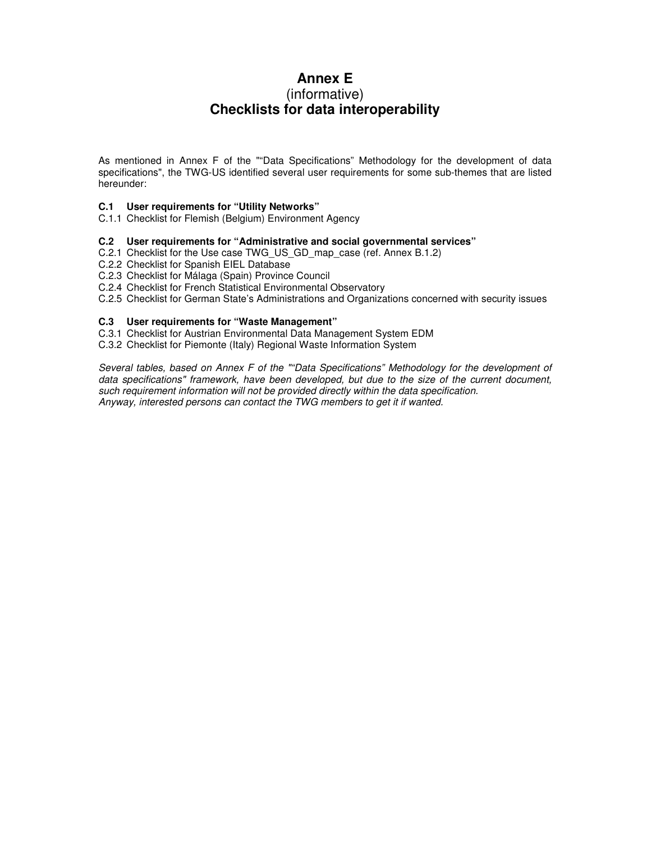## **Annex E**  (informative)

# **Checklists for data interoperability**

As mentioned in Annex F of the ""Data Specifications" Methodology for the development of data specifications", the TWG-US identified several user requirements for some sub-themes that are listed hereunder:

#### **C.1 User requirements for "Utility Networks"**

C.1.1 Checklist for Flemish (Belgium) Environment Agency

#### **C.2 User requirements for "Administrative and social governmental services"**

- C.2.1 Checklist for the Use case TWG\_US\_GD\_map\_case (ref. Annex B.1.2)
- C.2.2 Checklist for Spanish EIEL Database
- C.2.3 Checklist for Málaga (Spain) Province Council
- C.2.4 Checklist for French Statistical Environmental Observatory
- C.2.5 Checklist for German State's Administrations and Organizations concerned with security issues

#### **C.3 User requirements for "Waste Management"**

- C.3.1 Checklist for Austrian Environmental Data Management System EDM
- C.3.2 Checklist for Piemonte (Italy) Regional Waste Information System

Several tables, based on Annex F of the ""Data Specifications" Methodology for the development of data specifications" framework, have been developed, but due to the size of the current document, such requirement information will not be provided directly within the data specification. Anyway, interested persons can contact the TWG members to get it if wanted.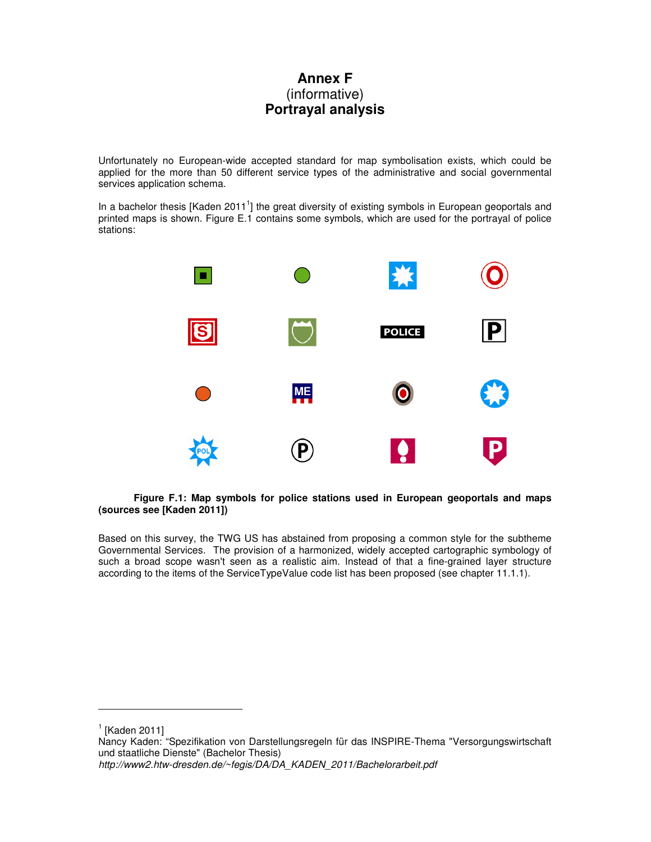## **Annex F**  (informative) **Portrayal analysis**

Unfortunately no European-wide accepted standard for map symbolisation exists, which could be applied for the more than 50 different service types of the administrative and social governmental services application schema.

In a bachelor thesis [Kaden 2011<sup>1</sup>] the great diversity of existing symbols in European geoportals and printed maps is shown. Figure E.1 contains some symbols, which are used for the portrayal of police stations:



#### **Figure F.1: Map symbols for police stations used in European geoportals and maps (sources see [Kaden 2011])**

Based on this survey, the TWG US has abstained from proposing a common style for the subtheme Governmental Services. The provision of a harmonized, widely accepted cartographic symbology of such a broad scope wasn't seen as a realistic aim. Instead of that a fine-grained layer structure according to the items of the ServiceTypeValue code list has been proposed (see chapter 11.1.1).

 $\overline{a}$ 

 $<sup>1</sup>$  [Kaden 2011]</sup>

Nancy Kaden: "Spezifikation von Darstellungsregeln für das INSPIRE-Thema "Versorgungswirtschaft und staatliche Dienste" (Bachelor Thesis) http://www2.htw-dresden.de/~fegis/DA/DA\_KADEN\_2011/Bachelorarbeit.pdf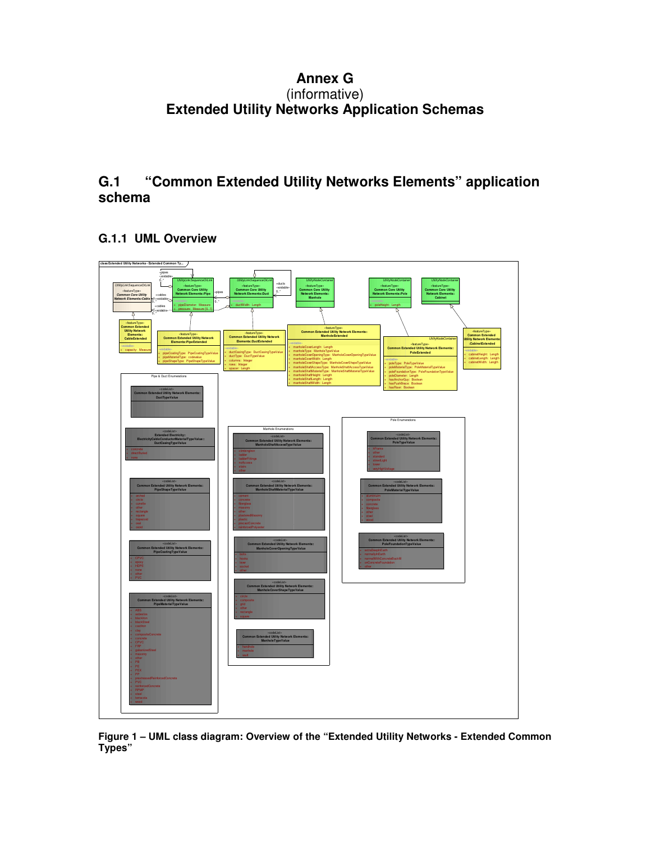## **Annex G**  (informative) **Extended Utility Networks Application Schemas**

## **G.1 "Common Extended Utility Networks Elements" application schema**

**G.1.1 UML Overview** 



**Figure 1 – UML class diagram: Overview of the "Extended Utility Networks - Extended Common Types"**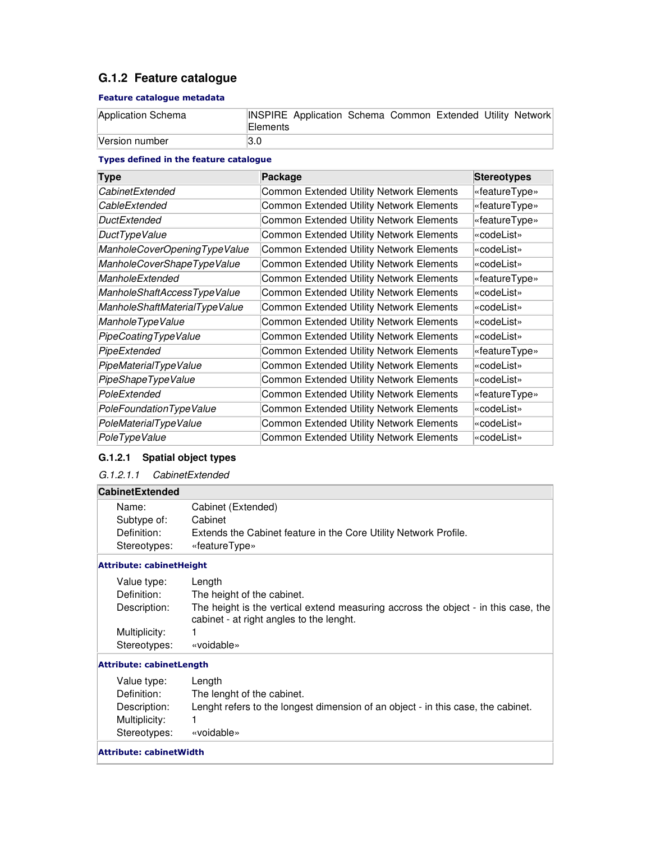## **G.1.2 Feature catalogue**

#### Feature catalogue metadata

| Application Schema | INSPIRE Application Schema Common Extended Utility Network<br><b>Elements</b> |
|--------------------|-------------------------------------------------------------------------------|
| Version number     | I3.0                                                                          |

#### Types defined in the feature catalogue

| <b>Type</b>                   | Package                                         | <b>Stereotypes</b> |
|-------------------------------|-------------------------------------------------|--------------------|
| CabinetExtended               | Common Extended Utility Network Elements        | «featureType»      |
| CableExtended                 | Common Extended Utility Network Elements        | «featureType»      |
| <b>DuctExtended</b>           | Common Extended Utility Network Elements        | «featureType»      |
| DuctTypeValue                 | <b>Common Extended Utility Network Elements</b> | «codeList»         |
| ManholeCoverOpeningTypeValue  | Common Extended Utility Network Elements        | «codeList»         |
| ManholeCoverShapeTypeValue    | Common Extended Utility Network Elements        | «codeList»         |
| ManholeExtended               | <b>Common Extended Utility Network Elements</b> | «featureType»      |
| ManholeShaftAccessTypeValue   | Common Extended Utility Network Elements        | «codeList»         |
| ManholeShaftMaterialTypeValue | Common Extended Utility Network Elements        | «codeList»         |
| ManholeTypeValue              | <b>Common Extended Utility Network Elements</b> | «codeList»         |
| PipeCoatingTypeValue          | <b>Common Extended Utility Network Elements</b> | «codeList»         |
| PipeExtended                  | Common Extended Utility Network Elements        | «featureType»      |
| PipeMaterialTypeValue         | Common Extended Utility Network Elements        | «codeList»         |
| PipeShapeTypeValue            | Common Extended Utility Network Elements        | «codeList»         |
| PoleExtended                  | Common Extended Utility Network Elements        | «featureType»      |
| PoleFoundationTypeValue       | Common Extended Utility Network Elements        | «codeList»         |
| PoleMaterialTypeValue         | <b>Common Extended Utility Network Elements</b> | «codeList»         |
| PoleTypeValue                 | Common Extended Utility Network Elements        | «codeList»         |

## **G.1.2.1 Spatial object types**

G.1.2.1.1 CabinetExtended

### **CabinetExtended**

| Name:        | Cabinet (Extended)                                               |
|--------------|------------------------------------------------------------------|
| Subtype of:  | Cabinet                                                          |
| Definition:  | Extends the Cabinet feature in the Core Utility Network Profile. |
| Stereotypes: | «featureType»                                                    |
|              |                                                                  |

#### Attribute: cabinetHeight

| Value type:   | Lenath                                                                                                                         |
|---------------|--------------------------------------------------------------------------------------------------------------------------------|
| Definition:   | The height of the cabinet.                                                                                                     |
| Description:  | The height is the vertical extend measuring accross the object - in this case, the<br>cabinet - at right angles to the lenght. |
| Multiplicity: |                                                                                                                                |
| Stereotypes:  | «voidable»                                                                                                                     |

#### Attribute: cabinetLength

| Value type:   | Length                                                                           |
|---------------|----------------------------------------------------------------------------------|
| Definition:   | The lenght of the cabinet.                                                       |
| Description:  | Lenght refers to the longest dimension of an object - in this case, the cabinet. |
| Multiplicity: |                                                                                  |
| Stereotypes:  | «voidable»                                                                       |
|               |                                                                                  |

#### Attribute: cabinetWidth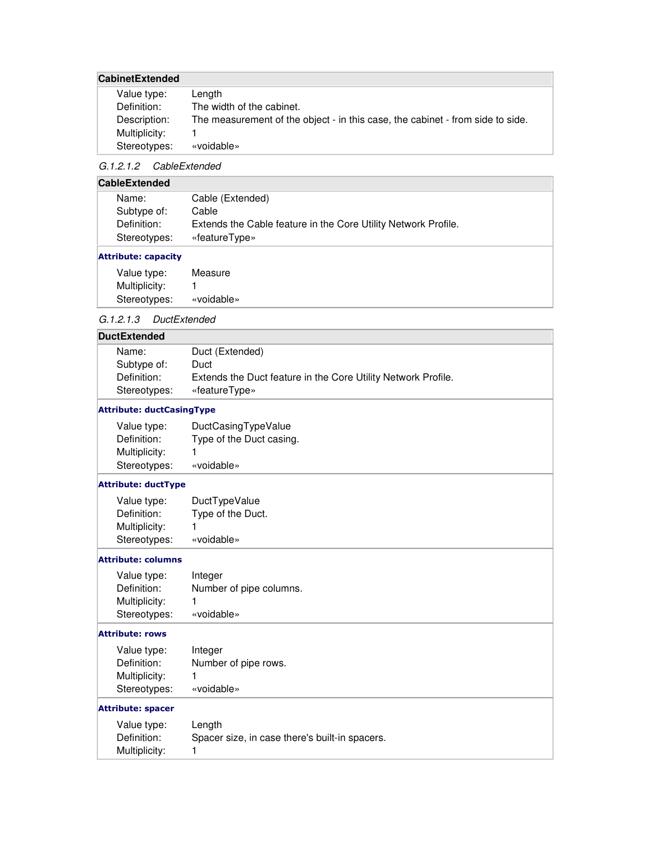### **CabinetExtended**

| Value type:   | Lenath                                                                         |
|---------------|--------------------------------------------------------------------------------|
| Definition:   | The width of the cabinet.                                                      |
| Description:  | The measurement of the object - in this case, the cabinet - from side to side. |
| Multiplicity: |                                                                                |
| Stereotypes:  | «voidable»                                                                     |

### G.1.2.1.2 CableExtended

### **CableExtended**

| Name:        | Cable (Extended)                                               |
|--------------|----------------------------------------------------------------|
| Subtype of:  | Cable                                                          |
| Definition:  | Extends the Cable feature in the Core Utility Network Profile. |
| Stereotypes: | «featureType»                                                  |
|              |                                                                |

#### Attribute: capacity

| Value type:   | Measure    |
|---------------|------------|
| Multiplicity: |            |
| Stereotypes:  | «voidable» |

### G.1.2.1.3 DuctExtended

| Duct (Extended)<br>Name:                                                     |  |
|------------------------------------------------------------------------------|--|
| Subtype of:<br>Duct                                                          |  |
| Extends the Duct feature in the Core Utility Network Profile.<br>Definition: |  |
| Stereotypes:<br>«featureType»                                                |  |

#### Attribute: ductCasingType

| Value type:   | DuctCasingTypeValue      |
|---------------|--------------------------|
| Definition:   | Type of the Duct casing. |
| Multiplicity: | 1                        |
| Stereotypes:  | «voidable»               |

#### Attribute: ductType

| Value type:   | DuctTypeValue     |
|---------------|-------------------|
| Definition:   | Type of the Duct. |
| Multiplicity: |                   |
| Stereotypes:  | «voidable»        |

#### Attribute: columns

| Value type:   | Integer                 |
|---------------|-------------------------|
| Definition:   | Number of pipe columns. |
| Multiplicity: | 1                       |
| Stereotypes:  | «voidable»              |

#### Attribute: rows

| Value type:   | Integer              |
|---------------|----------------------|
| Definition:   | Number of pipe rows. |
| Multiplicity: | 1                    |
| Stereotypes:  | «voidable»           |

#### Attribute: spacer

| Value type:   | Length                                         |
|---------------|------------------------------------------------|
| Definition:   | Spacer size, in case there's built-in spacers. |
| Multiplicity: |                                                |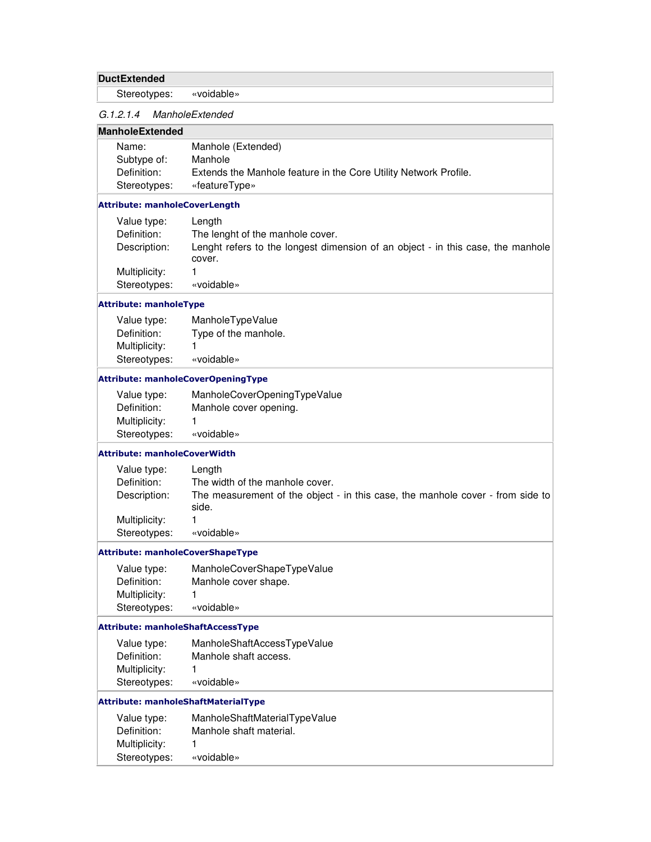### **DuctExtended**

Stereotypes: «voidable»

### G.1.2.1.4 ManholeExtended

### **ManholeExtended**

| Name:        | Manhole (Extended)                                               |
|--------------|------------------------------------------------------------------|
| Subtype of:  | Manhole                                                          |
| Definition:  | Extends the Manhole feature in the Core Utility Network Profile. |
| Stereotypes: | «featureType»                                                    |

#### Attribute: manholeCoverLength

| Value type:   | Length                                                                                    |
|---------------|-------------------------------------------------------------------------------------------|
| Definition:   | The lenght of the manhole cover.                                                          |
| Description:  | Lenght refers to the longest dimension of an object - in this case, the manhole<br>cover. |
| Multiplicity: |                                                                                           |
| Stereotypes:  | «voidable»                                                                                |

#### Attribute: manholeType

| Value type:   | ManholeTypeValue     |
|---------------|----------------------|
| Definition:   | Type of the manhole. |
| Multiplicity: |                      |
| Stereotypes:  | «voidable»           |

#### Attribute: manholeCoverOpeningType

| Value type:   | ManholeCoverOpeningTypeValue |
|---------------|------------------------------|
| Definition:   | Manhole cover opening.       |
| Multiplicity: |                              |
| Stereotypes:  | «voidable»                   |

#### Attribute: manholeCoverWidth

| Value type:<br>Definition: | Length<br>The width of the manhole cover.                                               |
|----------------------------|-----------------------------------------------------------------------------------------|
| Description:               | The measurement of the object - in this case, the manhole cover - from side to<br>side. |
| Multiplicity:              |                                                                                         |
| Stereotypes:               | «voidable»                                                                              |

#### Attribute: manholeCoverShapeType

| Value type:   | ManholeCoverShapeTypeValue |
|---------------|----------------------------|
| Definition:   | Manhole cover shape.       |
| Multiplicity: |                            |
| Stereotypes:  | «voidable»                 |

#### Attribute: manholeShaftAccessType

| Value type:   | ManholeShaftAccessTypeValue |
|---------------|-----------------------------|
| Definition:   | Manhole shaft access.       |
| Multiplicity: |                             |
| Stereotypes:  | «voidable»                  |

#### Attribute: manholeShaftMaterialType

| Value type:   | ManholeShaftMaterialTypeValue |
|---------------|-------------------------------|
| Definition:   | Manhole shaft material.       |
| Multiplicity: |                               |
| Stereotypes:  | «voidable»                    |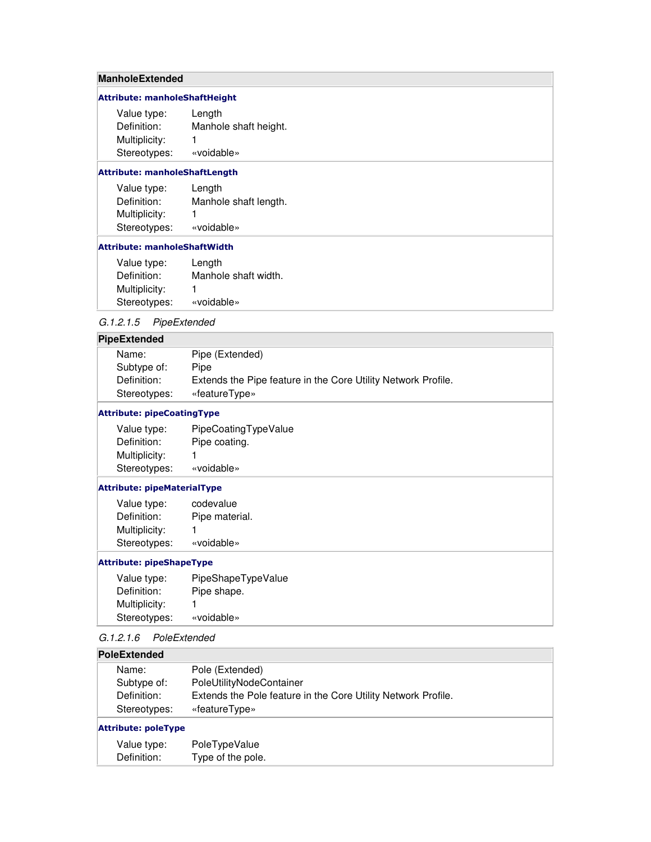### **ManholeExtended**

#### Attribute: manholeShaftHeight

| Value type:   | Length                |
|---------------|-----------------------|
| Definition:   | Manhole shaft height. |
| Multiplicity: | 1                     |
| Stereotypes:  | «voidable»            |

#### Attribute: manholeShaftLength

| Value type:   | Length                |
|---------------|-----------------------|
| Definition:   | Manhole shaft length. |
| Multiplicity: | 1                     |
| Stereotypes:  | «voidable»            |

#### Attribute: manholeShaftWidth

| Value type:   | Length               |
|---------------|----------------------|
| Definition:   | Manhole shaft width. |
| Multiplicity: |                      |
| Stereotypes:  | «voidable»           |

### G.1.2.1.5 PipeExtended

#### **PipeExtended**

| Name:        | Pipe (Extended)                                               |
|--------------|---------------------------------------------------------------|
| Subtype of:  | Pipe                                                          |
| Definition:  | Extends the Pipe feature in the Core Utility Network Profile. |
| Stereotypes: | «featureType»                                                 |

#### Attribute: pipeCoatingType

| Value type:   | PipeCoatingTypeValue |
|---------------|----------------------|
| Definition:   | Pipe coating.        |
| Multiplicity: |                      |
| Stereotypes:  | «voidable»           |

#### Attribute: pipeMaterialType

| Value type:   | codevalue      |
|---------------|----------------|
| Definition:   | Pipe material. |
| Multiplicity: | 1              |
| Stereotypes:  | «voidable»     |

#### Attribute: pipeShapeType

| Value type:   | PipeShapeTypeValue |
|---------------|--------------------|
| Definition:   | Pipe shape.        |
| Multiplicity: |                    |
| Stereotypes:  | «voidable»         |

#### G.1.2.1.6 PoleExtended

#### **PoleExtended**

| Name:        | Pole (Extended)                                               |
|--------------|---------------------------------------------------------------|
| Subtype of:  | PoleUtilityNodeContainer                                      |
| Definition:  | Extends the Pole feature in the Core Utility Network Profile. |
| Stereotypes: | «featureType»                                                 |
|              |                                                               |

#### Attribute: poleType

| Value type: | PoleTypeValue     |
|-------------|-------------------|
| Definition: | Type of the pole. |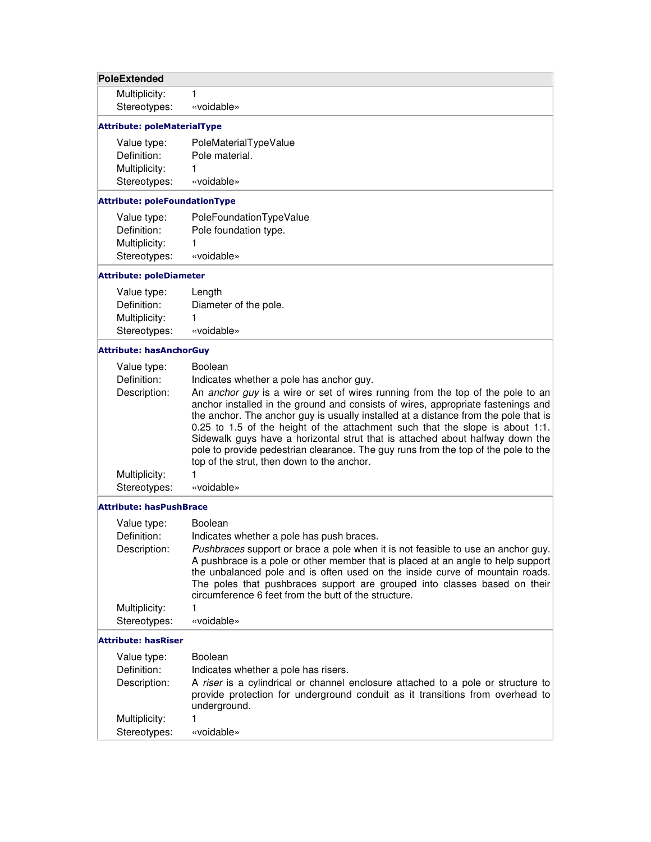## **PoleExtended**

Multiplicity: 1 Stereotypes: «voidable»

## Attribute: poleMaterialType

| Value type:   | PoleMaterialTypeValue |
|---------------|-----------------------|
| Definition:   | Pole material.        |
| Multiplicity: | 1                     |
| Stereotypes:  | «voidable»            |

#### Attribute: poleFoundationType

| Value type:   | PoleFoundationTypeValue |
|---------------|-------------------------|
| Definition:   | Pole foundation type.   |
| Multiplicity: |                         |
| Stereotypes:  | «voidable»              |

### Attribute: poleDiameter

| Value type:   | Length                |
|---------------|-----------------------|
| Definition:   | Diameter of the pole. |
| Multiplicity: | 1                     |
| Stereotypes:  | «voidable»            |

#### Attribute: hasAnchorGuy

| Value type:   | <b>Boolean</b>                                                                                                                                                                                                                                                                                                                                                                                                                                                                                                                                                  |
|---------------|-----------------------------------------------------------------------------------------------------------------------------------------------------------------------------------------------------------------------------------------------------------------------------------------------------------------------------------------------------------------------------------------------------------------------------------------------------------------------------------------------------------------------------------------------------------------|
| Definition:   | Indicates whether a pole has anchor guy.                                                                                                                                                                                                                                                                                                                                                                                                                                                                                                                        |
| Description:  | An anchor guy is a wire or set of wires running from the top of the pole to an<br>anchor installed in the ground and consists of wires, appropriate fastenings and<br>the anchor. The anchor guy is usually installed at a distance from the pole that is<br>0.25 to 1.5 of the height of the attachment such that the slope is about 1:1.<br>Sidewalk guys have a horizontal strut that is attached about halfway down the<br>pole to provide pedestrian clearance. The guy runs from the top of the pole to the<br>top of the strut, then down to the anchor. |
| Multiplicity: |                                                                                                                                                                                                                                                                                                                                                                                                                                                                                                                                                                 |
| Stereotypes:  | «voidable»                                                                                                                                                                                                                                                                                                                                                                                                                                                                                                                                                      |

#### Attribute: hasPushBrace

| Value type:   | <b>Boolean</b>                                                                                                                                                                                                                                                                                                                                                                            |
|---------------|-------------------------------------------------------------------------------------------------------------------------------------------------------------------------------------------------------------------------------------------------------------------------------------------------------------------------------------------------------------------------------------------|
| Definition:   | Indicates whether a pole has push braces.                                                                                                                                                                                                                                                                                                                                                 |
| Description:  | Pushbraces support or brace a pole when it is not feasible to use an anchor guy.<br>A pushbrace is a pole or other member that is placed at an angle to help support<br>the unbalanced pole and is often used on the inside curve of mountain roads.<br>The poles that pushbraces support are grouped into classes based on their<br>circumference 6 feet from the butt of the structure. |
| Multiplicity: |                                                                                                                                                                                                                                                                                                                                                                                           |
| Stereotypes:  | «voidable»                                                                                                                                                                                                                                                                                                                                                                                |

#### Attribute: hasRiser

| Value type:<br>Definition: | <b>Boolean</b><br>Indicates whether a pole has risers.                                                                                                                            |
|----------------------------|-----------------------------------------------------------------------------------------------------------------------------------------------------------------------------------|
| Description:               | A riser is a cylindrical or channel enclosure attached to a pole or structure to<br>provide protection for underground conduit as it transitions from overhead to<br>underground. |
| Multiplicity:              |                                                                                                                                                                                   |
| Stereotypes:               | «voidable»                                                                                                                                                                        |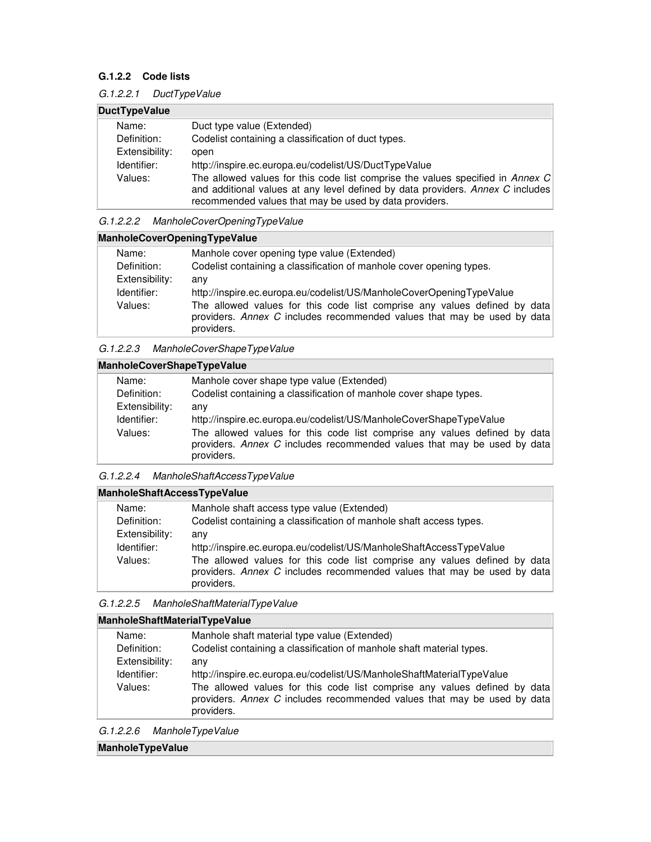### **G.1.2.2 Code lists**

| <b>DuctTypeValue</b> |                                                                                                                                                                                                                            |  |
|----------------------|----------------------------------------------------------------------------------------------------------------------------------------------------------------------------------------------------------------------------|--|
| Name:                | Duct type value (Extended)                                                                                                                                                                                                 |  |
| Definition:          | Codelist containing a classification of duct types.                                                                                                                                                                        |  |
| Extensibility:       | open                                                                                                                                                                                                                       |  |
| Identifier:          | http://inspire.ec.europa.eu/codelist/US/DuctTypeValue                                                                                                                                                                      |  |
| Values:              | The allowed values for this code list comprise the values specified in Annex C<br>and additional values at any level defined by data providers. Annex C includes<br>recommended values that may be used by data providers. |  |

#### G.1.2.2.2 ManholeCoverOpeningTypeValue

|                | ManholeCoverOpeningTypeValue                                                                                                                                       |  |  |
|----------------|--------------------------------------------------------------------------------------------------------------------------------------------------------------------|--|--|
| Name:          | Manhole cover opening type value (Extended)                                                                                                                        |  |  |
| Definition:    | Codelist containing a classification of manhole cover opening types.                                                                                               |  |  |
| Extensibility: | any                                                                                                                                                                |  |  |
| Identifier:    | http://inspire.ec.europa.eu/codelist/US/ManholeCoverOpeningTypeValue                                                                                               |  |  |
| Values:        | The allowed values for this code list comprise any values defined by data<br>providers. Annex C includes recommended values that may be used by data<br>providers. |  |  |

#### G.1.2.2.3 ManholeCoverShapeTypeValue

## **ManholeCoverShapeTypeValue**

| Name:          | Manhole cover shape type value (Extended)                                                                                                                          |
|----------------|--------------------------------------------------------------------------------------------------------------------------------------------------------------------|
| Definition:    | Codelist containing a classification of manhole cover shape types.                                                                                                 |
| Extensibility: | anv                                                                                                                                                                |
| Identifier:    | http://inspire.ec.europa.eu/codelist/US/ManholeCoverShapeTypeValue                                                                                                 |
| Values:        | The allowed values for this code list comprise any values defined by data<br>providers. Annex C includes recommended values that may be used by data<br>providers. |

### G.1.2.2.4 ManholeShaftAccessTypeValue

| <b>ManholeShaftAccessTypeValue</b> |  |  |  |
|------------------------------------|--|--|--|
|                                    |  |  |  |

| Name:          | Manhole shaft access type value (Extended)                                |
|----------------|---------------------------------------------------------------------------|
| Definition:    | Codelist containing a classification of manhole shaft access types.       |
| Extensibility: | anv                                                                       |
| Identifier:    | http://inspire.ec.europa.eu/codelist/US/ManholeShaftAccessTypeValue       |
| Values:        | The allowed values for this code list comprise any values defined by data |
|                | providers. Annex C includes recommended values that may be used by data   |
|                | providers.                                                                |

#### G.1.2.2.5 ManholeShaftMaterialTypeValue

#### **ManholeShaftMaterialTypeValue**

| Name:          | Manhole shaft material type value (Extended)                                                                                                                       |
|----------------|--------------------------------------------------------------------------------------------------------------------------------------------------------------------|
| Definition:    | Codelist containing a classification of manhole shaft material types.                                                                                              |
| Extensibility: | anv                                                                                                                                                                |
| Identifier:    | http://inspire.ec.europa.eu/codelist/US/ManholeShaftMaterialTypeValue                                                                                              |
| Values:        | The allowed values for this code list comprise any values defined by data<br>providers. Annex C includes recommended values that may be used by data<br>providers. |

| G.1.2.2.6 | ManholeTypeValue |
|-----------|------------------|
|-----------|------------------|

## **ManholeTypeValue**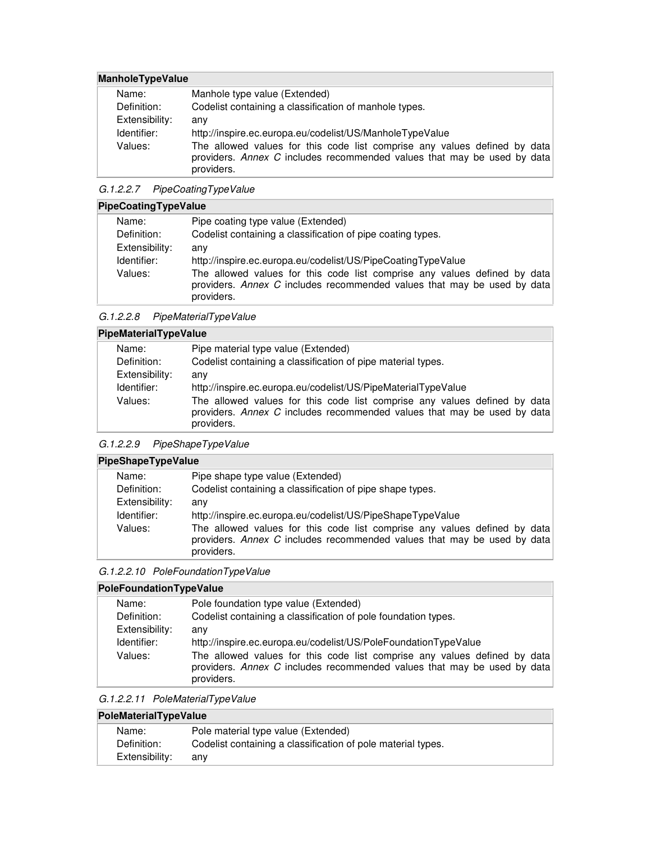## **ManholeTypeValue**

| Name:          | Manhole type value (Extended)                                                                                                                                      |
|----------------|--------------------------------------------------------------------------------------------------------------------------------------------------------------------|
| Definition:    | Codelist containing a classification of manhole types.                                                                                                             |
| Extensibility: | anv                                                                                                                                                                |
| Identifier:    | http://inspire.ec.europa.eu/codelist/US/ManholeTypeValue                                                                                                           |
| Values:        | The allowed values for this code list comprise any values defined by data<br>providers. Annex C includes recommended values that may be used by data<br>providers. |

G.1.2.2.7 PipeCoatingTypeValue

## **PipeCoatingTypeValue**

| Name:          | Pipe coating type value (Extended)                                                                                                                                 |
|----------------|--------------------------------------------------------------------------------------------------------------------------------------------------------------------|
| Definition:    | Codelist containing a classification of pipe coating types.                                                                                                        |
| Extensibility: | any                                                                                                                                                                |
| Identifier:    | http://inspire.ec.europa.eu/codelist/US/PipeCoatingTypeValue                                                                                                       |
| Values:        | The allowed values for this code list comprise any values defined by data<br>providers. Annex C includes recommended values that may be used by data<br>providers. |
|                |                                                                                                                                                                    |

G.1.2.2.8 PipeMaterialTypeValue

## **PipeMaterialTypeValue**

| Name:          | Pipe material type value (Extended)                                                                                                                                |
|----------------|--------------------------------------------------------------------------------------------------------------------------------------------------------------------|
| Definition:    | Codelist containing a classification of pipe material types.                                                                                                       |
| Extensibility: | anv                                                                                                                                                                |
| Identifier:    | http://inspire.ec.europa.eu/codelist/US/PipeMaterialTypeValue                                                                                                      |
| Values:        | The allowed values for this code list comprise any values defined by data<br>providers. Annex C includes recommended values that may be used by data<br>providers. |

#### G.1.2.2.9 PipeShapeTypeValue

## **PipeShapeTypeValue**

| Name:          | Pipe shape type value (Extended)                                          |  |  |
|----------------|---------------------------------------------------------------------------|--|--|
| Definition:    | Codelist containing a classification of pipe shape types.                 |  |  |
| Extensibility: | anv                                                                       |  |  |
| Identifier:    | http://inspire.ec.europa.eu/codelist/US/PipeShapeTypeValue                |  |  |
| Values:        | The allowed values for this code list comprise any values defined by data |  |  |
|                | providers. Annex C includes recommended values that may be used by data   |  |  |
|                | providers.                                                                |  |  |

| PoleFoundationTypeValue |                                                                                                                                                                    |  |  |
|-------------------------|--------------------------------------------------------------------------------------------------------------------------------------------------------------------|--|--|
| Name:                   | Pole foundation type value (Extended)                                                                                                                              |  |  |
| Definition:             | Codelist containing a classification of pole foundation types.                                                                                                     |  |  |
| Extensibility:          | any                                                                                                                                                                |  |  |
| Identifier:             | http://inspire.ec.europa.eu/codelist/US/PoleFoundationTypeValue                                                                                                    |  |  |
| Values:                 | The allowed values for this code list comprise any values defined by data<br>providers. Annex C includes recommended values that may be used by data<br>providers. |  |  |

## **PoleMaterialTypeValue**

| .              |                                                              |  |
|----------------|--------------------------------------------------------------|--|
| Name:          | Pole material type value (Extended)                          |  |
| Definition:    | Codelist containing a classification of pole material types. |  |
| Extensibility: | anv                                                          |  |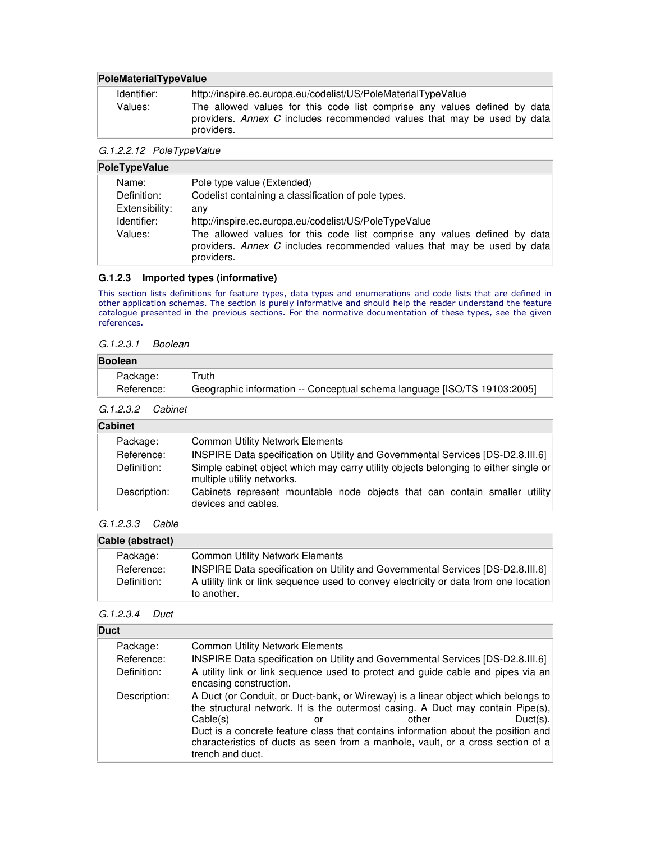#### **PoleMaterialTypeValue**

| Identifier: | http://inspire.ec.europa.eu/codelist/US/PoleMaterialTypeValue                                                                                                      |
|-------------|--------------------------------------------------------------------------------------------------------------------------------------------------------------------|
| Values:     | The allowed values for this code list comprise any values defined by data<br>providers. Annex C includes recommended values that may be used by data<br>providers. |

#### G.1.2.2.12 PoleTypeValue

| PoleTypeValue  |                                                                                                                                                                    |  |
|----------------|--------------------------------------------------------------------------------------------------------------------------------------------------------------------|--|
| Name:          | Pole type value (Extended)                                                                                                                                         |  |
| Definition:    | Codelist containing a classification of pole types.                                                                                                                |  |
| Extensibility: | anv                                                                                                                                                                |  |
| Identifier:    | http://inspire.ec.europa.eu/codelist/US/PoleTypeValue                                                                                                              |  |
| Values:        | The allowed values for this code list comprise any values defined by data<br>providers. Annex C includes recommended values that may be used by data<br>providers. |  |

#### **G.1.2.3 Imported types (informative)**

This section lists definitions for feature types, data types and enumerations and code lists that are defined in other application schemas. The section is purely informative and should help the reader understand the feature catalogue presented in the previous sections. For the normative documentation of these types, see the given references.

#### G.1.2.3.1 Boolean

| <b>Boolean</b> |                                                                          |  |
|----------------|--------------------------------------------------------------------------|--|
| Package:       | ⊤ruth                                                                    |  |
| Reference:     | Geographic information -- Conceptual schema language [ISO/TS 19103:2005] |  |

#### G.1.2.3.2 Cabinet

| <b>Cabinet</b> |                                                                                                                   |  |
|----------------|-------------------------------------------------------------------------------------------------------------------|--|
| Package:       | <b>Common Utility Network Elements</b>                                                                            |  |
| Reference:     | INSPIRE Data specification on Utility and Governmental Services [DS-D2.8.III.6]                                   |  |
| Definition:    | Simple cabinet object which may carry utility objects belonging to either single or<br>multiple utility networks. |  |
| Description:   | Cabinets represent mountable node objects that can contain smaller utility<br>devices and cables.                 |  |
|                |                                                                                                                   |  |

#### G.1.2.3.3 Cable

| Cable (abstract) |                                                                                                     |  |
|------------------|-----------------------------------------------------------------------------------------------------|--|
| Package:         | <b>Common Utility Network Elements</b>                                                              |  |
| Reference:       | INSPIRE Data specification on Utility and Governmental Services [DS-D2.8.III.6]                     |  |
| Definition:      | A utility link or link sequence used to convey electricity or data from one location<br>to another. |  |

#### G.1.2.3.4 Duct

| <b>Duct</b>  |                                                                                                                                                                                                                                                                                                                                                                                    |       |             |
|--------------|------------------------------------------------------------------------------------------------------------------------------------------------------------------------------------------------------------------------------------------------------------------------------------------------------------------------------------------------------------------------------------|-------|-------------|
| Package:     | <b>Common Utility Network Elements</b>                                                                                                                                                                                                                                                                                                                                             |       |             |
| Reference:   | INSPIRE Data specification on Utility and Governmental Services [DS-D2.8.III.6]                                                                                                                                                                                                                                                                                                    |       |             |
| Definition:  | A utility link or link sequence used to protect and guide cable and pipes via an<br>encasing construction.                                                                                                                                                                                                                                                                         |       |             |
| Description: | A Duct (or Conduit, or Duct-bank, or Wireway) is a linear object which belongs to<br>the structural network. It is the outermost casing. A Duct may contain Pipe(s),<br>Cable(s)<br>or<br>Duct is a concrete feature class that contains information about the position and<br>characteristics of ducts as seen from a manhole, vault, or a cross section of a<br>trench and duct. | other | $Duct(s)$ . |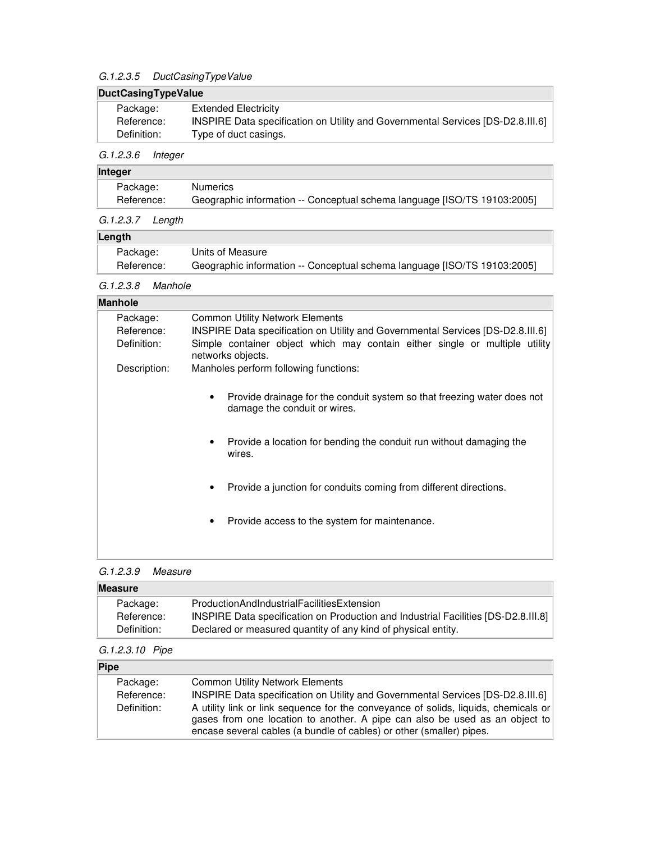## G.1.2.3.5 DuctCasingTypeValue

## **DuctCasingTypeValue**

| Package:    | Extended Electricity                                                            |
|-------------|---------------------------------------------------------------------------------|
| Reference:  | INSPIRE Data specification on Utility and Governmental Services [DS-D2.8.III.6] |
| Definition: | Type of duct casings.                                                           |

## G.1.2.3.6 Integer

## **Integer**

| Package:   | <b>Numerics</b>                                                          |
|------------|--------------------------------------------------------------------------|
| Reference: | Geographic information -- Conceptual schema language [ISO/TS 19103:2005] |

#### G.1.2.3.7 Length

| Length     |                                                                          |
|------------|--------------------------------------------------------------------------|
| Package:   | Units of Measure                                                         |
| Reference: | Geographic information -- Conceptual schema language [ISO/TS 19103:2005] |

#### G.1.2.3.8 Manhole

| <b>Manhole</b> |                                                                                                         |
|----------------|---------------------------------------------------------------------------------------------------------|
| Package:       | <b>Common Utility Network Elements</b>                                                                  |
| Reference:     | INSPIRE Data specification on Utility and Governmental Services [DS-D2.8.III.6]                         |
| Definition:    | Simple container object which may contain either single or multiple utility<br>networks objects.        |
| Description:   | Manholes perform following functions:                                                                   |
|                |                                                                                                         |
|                | Provide drainage for the conduit system so that freezing water does not<br>damage the conduit or wires. |
|                | Provide a location for bending the conduit run without damaging the<br>٠<br>wires.                      |
|                | Provide a junction for conduits coming from different directions.                                       |
|                | Provide access to the system for maintenance.<br>$\bullet$                                              |
|                |                                                                                                         |
|                |                                                                                                         |

### G.1.2.3.9 Measure

| <b>Measure</b> |                                                                                                    |  |
|----------------|----------------------------------------------------------------------------------------------------|--|
| Package:       | ProductionAndIndustrialFacilitiesExtension                                                         |  |
| Reference:     | [DS-D2.8.111.8] INSPIRE Data specification on Production and Industrial Facilities [DS-D2.8.111.8] |  |
| Definition:    | Declared or measured quantity of any kind of physical entity.                                      |  |

## G.1.2.3.10 Pipe

### **Pipe**

| Package:    | <b>Common Utility Network Elements</b>                                                                                                                                                                                                     |
|-------------|--------------------------------------------------------------------------------------------------------------------------------------------------------------------------------------------------------------------------------------------|
| Reference:  | INSPIRE Data specification on Utility and Governmental Services [DS-D2.8.III.6]                                                                                                                                                            |
| Definition: | A utility link or link sequence for the conveyance of solids, liquids, chemicals or<br>gases from one location to another. A pipe can also be used as an object to<br>encase several cables (a bundle of cables) or other (smaller) pipes. |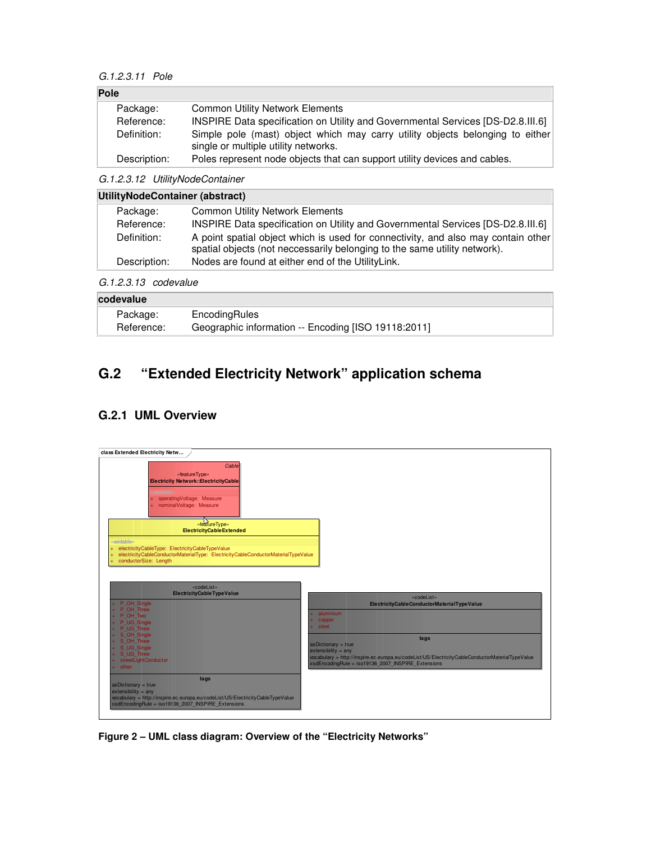#### G.1.2.3.11 Pole

| Pole |              |                                                                                                                       |
|------|--------------|-----------------------------------------------------------------------------------------------------------------------|
|      | Package:     | <b>Common Utility Network Elements</b>                                                                                |
|      | Reference:   | INSPIRE Data specification on Utility and Governmental Services [DS-D2.8.III.6]                                       |
|      | Definition:  | Simple pole (mast) object which may carry utility objects belonging to either<br>single or multiple utility networks. |
|      | Description: | Poles represent node objects that can support utility devices and cables.                                             |

G.1.2.3.12 UtilityNodeContainer

| UtilityNodeContainer (abstract) |                                                                                                                                                                |  |
|---------------------------------|----------------------------------------------------------------------------------------------------------------------------------------------------------------|--|
| Package:                        | <b>Common Utility Network Elements</b>                                                                                                                         |  |
| Reference:                      | INSPIRE Data specification on Utility and Governmental Services [DS-D2.8.III.6]                                                                                |  |
| Definition:                     | A point spatial object which is used for connectivity, and also may contain other<br>spatial objects (not neccessarily belonging to the same utility network). |  |
| Description:                    | Nodes are found at either end of the UtilityLink.                                                                                                              |  |
|                                 |                                                                                                                                                                |  |

G.1.2.3.13 codevalue

| codevalue  |                                                     |  |
|------------|-----------------------------------------------------|--|
| Package:   | EncodingRules                                       |  |
| Reference: | Geographic information -- Encoding [ISO 19118:2011] |  |

## **G.2 "Extended Electricity Network" application schema**

## **G.2.1 UML Overview**



**Figure 2 – UML class diagram: Overview of the "Electricity Networks"**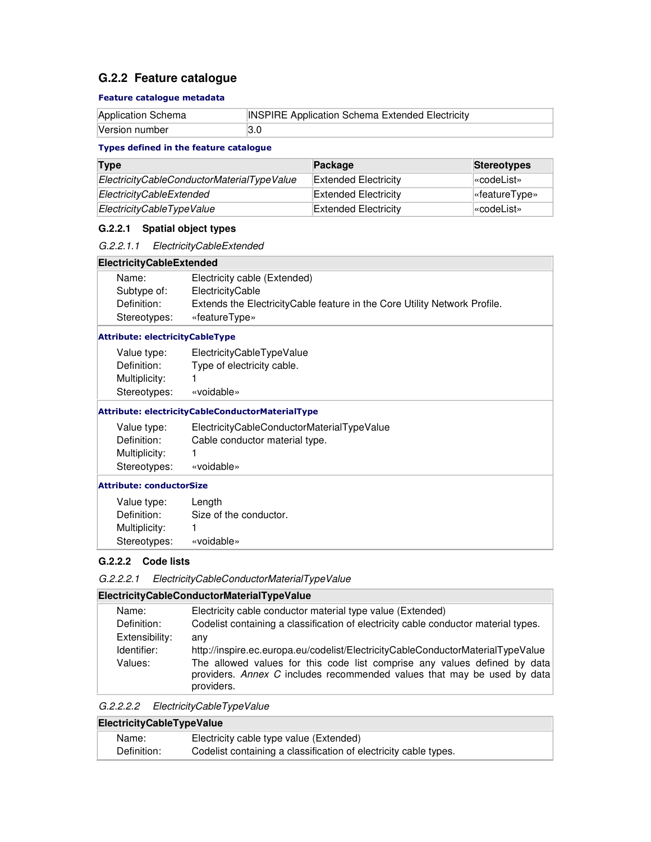## **G.2.2 Feature catalogue**

#### Feature catalogue metadata

| Application Schema | <b>INSPIRE Application Schema Extended Electricity</b> |
|--------------------|--------------------------------------------------------|
| Version number     |                                                        |

#### Types defined in the feature catalogue

| <b>Type</b>                                | Package              | Stereotypes                      |
|--------------------------------------------|----------------------|----------------------------------|
| ElectricityCableConductorMaterialTypeValue | Extended Electricity | l«codeList»                      |
| ElectricityCableExtended                   | Extended Electricity | $\sqrt{\mathsf{``featureType*}}$ |
| ElectricityCableTypeValue                  | Extended Electricity | l«codeList»                      |

#### **G.2.2.1 Spatial object types**

#### **ElectricityCableExtended**

| Name:        | Electricity cable (Extended)                                               |
|--------------|----------------------------------------------------------------------------|
| Subtype of:  | ElectricityCable                                                           |
| Definition:  | Extends the Electricity Cable feature in the Core Utility Network Profile. |
| Stereotypes: | «featureType»                                                              |

#### Attribute: electricityCableType

| Value type:   | ElectricityCableTypeValue  |
|---------------|----------------------------|
| Definition:   | Type of electricity cable. |
| Multiplicity: | 1                          |
| Stereotypes:  | «voidable»                 |

#### Attribute: electricityCableConductorMaterialType

| Value type:   | ElectricityCableConductorMaterialTypeValue |
|---------------|--------------------------------------------|
| Definition:   | Cable conductor material type.             |
| Multiplicity: |                                            |
| Stereotypes:  | «voidable»                                 |

#### Attribute: conductorSize

| Value type:   | Length                 |
|---------------|------------------------|
| Definition:   | Size of the conductor. |
| Multiplicity: |                        |
| Stereotypes:  | «voidable»             |

#### **G.2.2.2 Code lists**

| G.2.2.2.1 | ElectricityCableConductorMaterialTypeValue |  |
|-----------|--------------------------------------------|--|
|-----------|--------------------------------------------|--|

### **ElectricityCableConductorMaterialTypeValue**

| Name:          | Electricity cable conductor material type value (Extended)                                                                                                         |
|----------------|--------------------------------------------------------------------------------------------------------------------------------------------------------------------|
| Definition:    | Codelist containing a classification of electricity cable conductor material types.                                                                                |
| Extensibility: | anv                                                                                                                                                                |
| Identifier:    | http://inspire.ec.europa.eu/codelist/ElectricityCableConductorMaterialTypeValue                                                                                    |
| Values:        | The allowed values for this code list comprise any values defined by data<br>providers. Annex C includes recommended values that may be used by data<br>providers. |

| G.2.2.2.2 | ElectricityCableTypeValue |
|-----------|---------------------------|
|-----------|---------------------------|

| ElectricityCableTypeValue |                                                                  |  |
|---------------------------|------------------------------------------------------------------|--|
| Name:                     | Electricity cable type value (Extended)                          |  |
| Definition:               | Codelist containing a classification of electricity cable types. |  |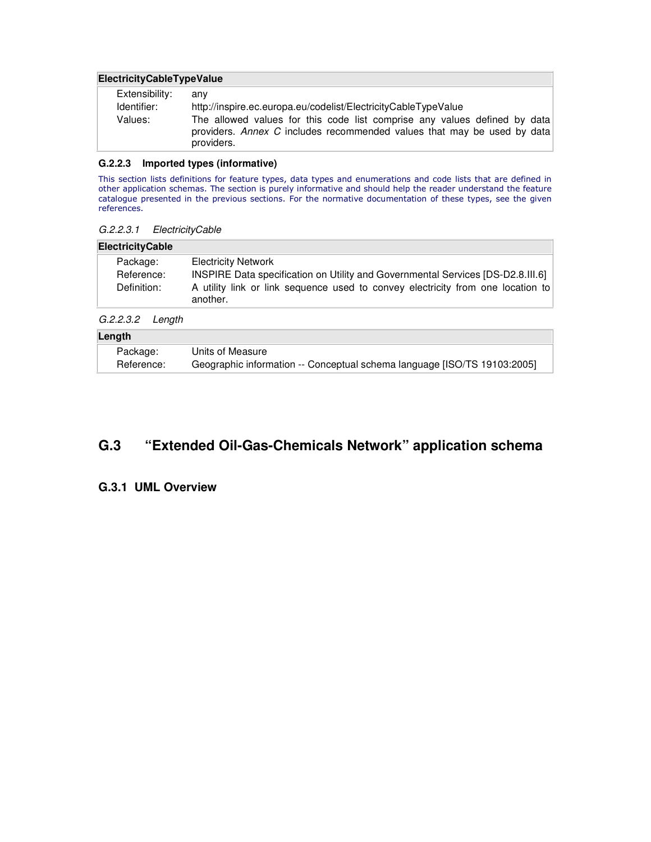#### **ElectricityCableTypeValue**

| Extensibility: | anv                                                                                                                                                                |
|----------------|--------------------------------------------------------------------------------------------------------------------------------------------------------------------|
| Identifier:    | http://inspire.ec.europa.eu/codelist/ElectricityCableTypeValue                                                                                                     |
| Values:        | The allowed values for this code list comprise any values defined by data<br>providers. Annex C includes recommended values that may be used by data<br>providers. |

#### **G.2.2.3 Imported types (informative)**

This section lists definitions for feature types, data types and enumerations and code lists that are defined in other application schemas. The section is purely informative and should help the reader understand the feature catalogue presented in the previous sections. For the normative documentation of these types, see the given references.

#### G.2.2.3.1 ElectricityCable

#### **ElectricityCable**

| Package:    | <b>Electricity Network</b>                                                      |
|-------------|---------------------------------------------------------------------------------|
| Reference:  | INSPIRE Data specification on Utility and Governmental Services [DS-D2.8.III.6] |
| Definition: | A utility link or link sequence used to convey electricity from one location to |
|             | another.                                                                        |

G.2.2.3.2 Length

| Length |            |                                                                          |
|--------|------------|--------------------------------------------------------------------------|
|        | Package:   | Units of Measure                                                         |
|        | Reference: | Geographic information -- Conceptual schema language [ISO/TS 19103:2005] |

## **G.3 "Extended Oil-Gas-Chemicals Network" application schema**

### **G.3.1 UML Overview**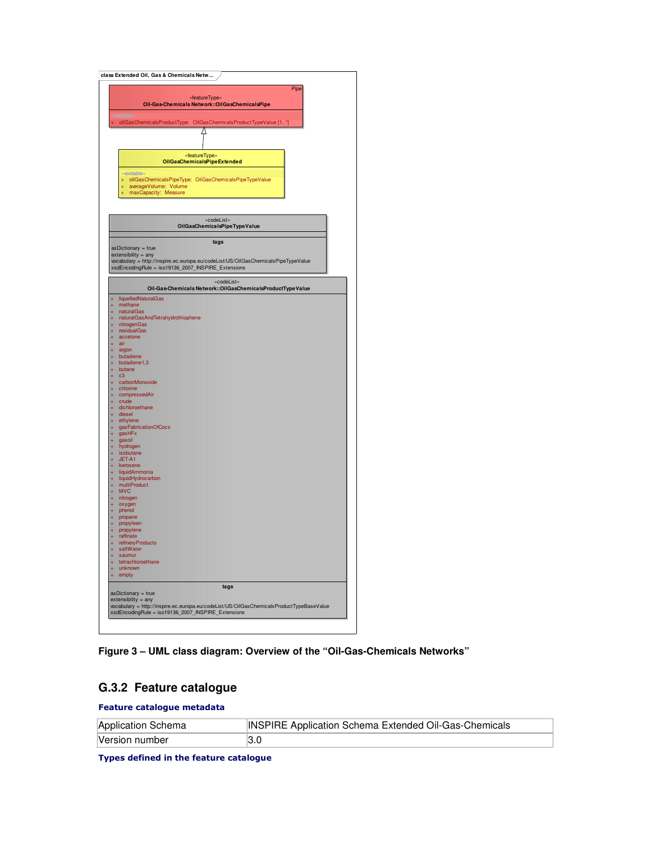

**Figure 3 – UML class diagram: Overview of the "Oil-Gas-Chemicals Networks"** 

### **G.3.2 Feature catalogue**

Feature catalogue metadata

| Application Schema | <b>INSPIRE Application Schema Extended Oil-Gas-Chemicals</b> |
|--------------------|--------------------------------------------------------------|
| Version number     | l3.0                                                         |

Types defined in the feature catalogue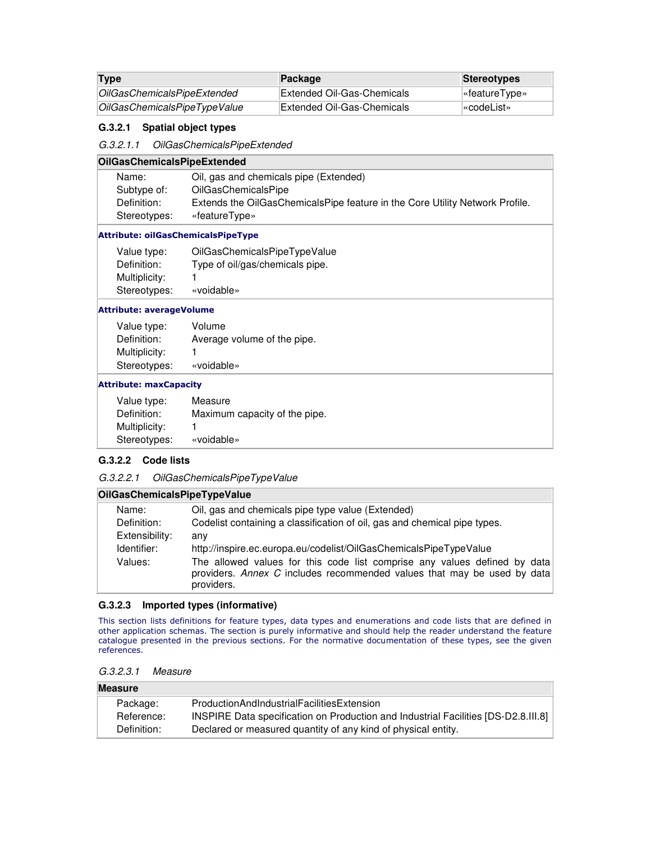| Type                         | Package                    | <b>Stereotypes</b>     |
|------------------------------|----------------------------|------------------------|
| OilGasChemicalsPipeExtended  | Extended Oil-Gas-Chemicals | $\sqrt{ }$ eatureType» |
| OilGasChemicalsPipeTypeValue | Extended Oil-Gas-Chemicals | l«codeList»⊹           |

#### **G.3.2.1 Spatial object types**

G.3.2.1.1 OilGasChemicalsPipeExtended

#### **OilGasChemicalsPipeExtended**

| Name:        | Oil, gas and chemicals pipe (Extended)                                       |
|--------------|------------------------------------------------------------------------------|
| Subtype of:  | <b>OilGasChemicalsPipe</b>                                                   |
| Definition:  | Extends the OilGasChemicalsPipe feature in the Core Utility Network Profile. |
| Stereotypes: | «featureType»                                                                |
|              |                                                                              |

#### Attribute: oilGasChemicalsPipeType

| Value type:   | OilGasChemicalsPipeTypeValue    |
|---------------|---------------------------------|
| Definition:   | Type of oil/gas/chemicals pipe. |
| Multiplicity: |                                 |
| Stereotypes:  | «voidable»                      |

#### Attribute: averageVolume

| Value type:   | Volume                      |
|---------------|-----------------------------|
| Definition:   | Average volume of the pipe. |
| Multiplicity: |                             |
| Stereotypes:  | «voidable»                  |

#### Attribute: maxCapacity

| Value type:   | Measure                       |
|---------------|-------------------------------|
| Definition:   | Maximum capacity of the pipe. |
| Multiplicity: |                               |
| Stereotypes:  | «voidable»                    |

#### **G.3.2.2 Code lists**

#### G.3.2.2.1 OilGasChemicalsPipeTypeValue

#### **OilGasChemicalsPipeTypeValue**

| Name:          | Oil, gas and chemicals pipe type value (Extended)                         |
|----------------|---------------------------------------------------------------------------|
| Definition:    | Codelist containing a classification of oil, gas and chemical pipe types. |
| Extensibility: | anv                                                                       |
| Identifier:    | http://inspire.ec.europa.eu/codelist/OilGasChemicalsPipeTypeValue         |
| Values:        | The allowed values for this code list comprise any values defined by data |
|                | providers. Annex C includes recommended values that may be used by data   |
|                | providers.                                                                |

#### **G.3.2.3 Imported types (informative)**

This section lists definitions for feature types, data types and enumerations and code lists that are defined in other application schemas. The section is purely informative and should help the reader understand the feature catalogue presented in the previous sections. For the normative documentation of these types, see the given references.

#### G.3.2.3.1 Measure

| <b>Measure</b> |                                                                                    |  |
|----------------|------------------------------------------------------------------------------------|--|
| Package:       | ProductionAndIndustrialFacilitiesExtension                                         |  |
| Reference:     | INSPIRE Data specification on Production and Industrial Facilities [DS-D2.8.III.8] |  |
| Definition:    | Declared or measured quantity of any kind of physical entity.                      |  |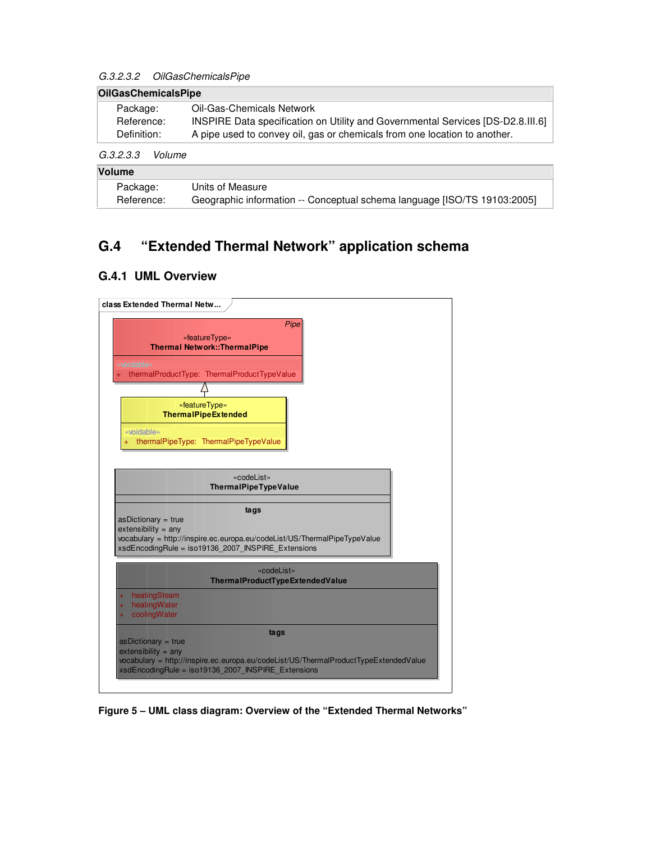#### G.3.2.3.2 OilGasChemicalsPipe

| <b>OilGasChemicalsPipe</b> |                                                                                 |  |
|----------------------------|---------------------------------------------------------------------------------|--|
| Package:                   | Oil-Gas-Chemicals Network                                                       |  |
| Reference:                 | INSPIRE Data specification on Utility and Governmental Services [DS-D2.8.III.6] |  |
| Definition:                | A pipe used to convey oil, gas or chemicals from one location to another.       |  |
| G.3.2.3.3                  | Volume                                                                          |  |

| <b>Volume</b> |                                                                          |  |
|---------------|--------------------------------------------------------------------------|--|
| Package:      | Units of Measure                                                         |  |
| Reference:    | Geographic information -- Conceptual schema language [ISO/TS 19103:2005] |  |

## **G.4 "Extended Thermal Network" application schema**

## **G.4.1 UML Overview**



**Figure 5 – UML class diagram: Overview of the "Extended Thermal Networks"**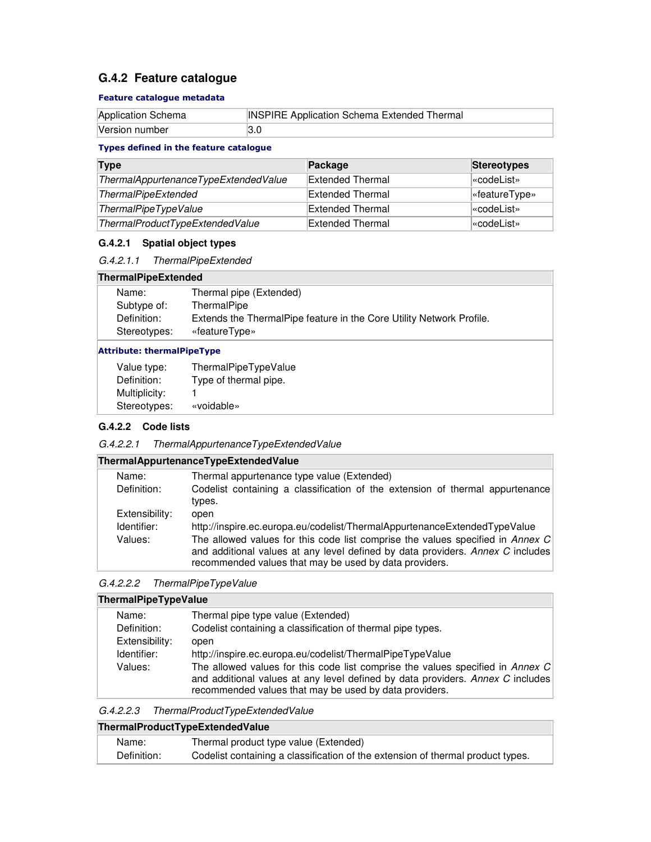## **G.4.2 Feature catalogue**

#### Feature catalogue metadata

| Application Schema | <b>INSPIRE Application Schema Extended Thermal</b> |
|--------------------|----------------------------------------------------|
| Version number     |                                                    |

### Types defined in the feature catalogue

| <b>Type</b>                          | Package          | <b>Stereotypes</b> |
|--------------------------------------|------------------|--------------------|
| ThermalAppurtenanceTypeExtendedValue | Extended Thermal | <b>«codeList»</b>  |
| <b>ThermalPipeExtended</b>           | Extended Thermal | «featureType»      |
| ThermalPipeTypeValue                 | Extended Thermal | l«codeList»        |
| ThermalProductTypeExtendedValue      | Extended Thermal | kcodeList»         |

### **G.4.2.1 Spatial object types**

### G.4.2.1.1 ThermalPipeExtended

#### **ThermalPipeExtended**

| Name:        | Thermal pipe (Extended)                                              |
|--------------|----------------------------------------------------------------------|
| Subtype of:  | ThermalPipe                                                          |
| Definition:  | Extends the ThermalPipe feature in the Core Utility Network Profile. |
| Stereotypes: | «featureType»                                                        |
|              |                                                                      |

#### Attribute: thermalPipeType

| Value type:   | ThermalPipeTypeValue  |
|---------------|-----------------------|
| Definition:   | Type of thermal pipe. |
| Multiplicity: |                       |
| Stereotypes:  | «voidable»            |

### **G.4.2.2 Code lists**

| G.4.2.2.1 | ThermalAppurtenanceTypeExtendedValue |
|-----------|--------------------------------------|
|           |                                      |

| ThermalAppurtenanceTypeExtendedValue |  |
|--------------------------------------|--|
|                                      |  |

| Name:          | Thermal appurtenance type value (Extended)                                                                                                                                                                                 |
|----------------|----------------------------------------------------------------------------------------------------------------------------------------------------------------------------------------------------------------------------|
| Definition:    | Codelist containing a classification of the extension of thermal appurtenance<br>types.                                                                                                                                    |
| Extensibility: | open                                                                                                                                                                                                                       |
| Identifier:    | http://inspire.ec.europa.eu/codelist/ThermalAppurtenanceExtendedTypeValue                                                                                                                                                  |
| Values:        | The allowed values for this code list comprise the values specified in Annex C<br>and additional values at any level defined by data providers. Annex C includes<br>recommended values that may be used by data providers. |

## G.4.2.2.2 ThermalPipeTypeValue

| ThermalPipeTypeValue |                                                                                                                                                                                                                            |  |
|----------------------|----------------------------------------------------------------------------------------------------------------------------------------------------------------------------------------------------------------------------|--|
| Name:                | Thermal pipe type value (Extended)                                                                                                                                                                                         |  |
| Definition:          | Codelist containing a classification of thermal pipe types.                                                                                                                                                                |  |
| Extensibility:       | open                                                                                                                                                                                                                       |  |
| Identifier:          | http://inspire.ec.europa.eu/codelist/ThermalPipeTypeValue                                                                                                                                                                  |  |
| Values:              | The allowed values for this code list comprise the values specified in Annex C<br>and additional values at any level defined by data providers. Annex C includes<br>recommended values that may be used by data providers. |  |

| G.4.2.2.3 | ThermalProductTypeExtendedValue |
|-----------|---------------------------------|
|-----------|---------------------------------|

| ThermalProductTypeExtendedValue |                                                                                 |  |
|---------------------------------|---------------------------------------------------------------------------------|--|
| Name:                           | Thermal product type value (Extended)                                           |  |
| Definition:                     | Codelist containing a classification of the extension of thermal product types. |  |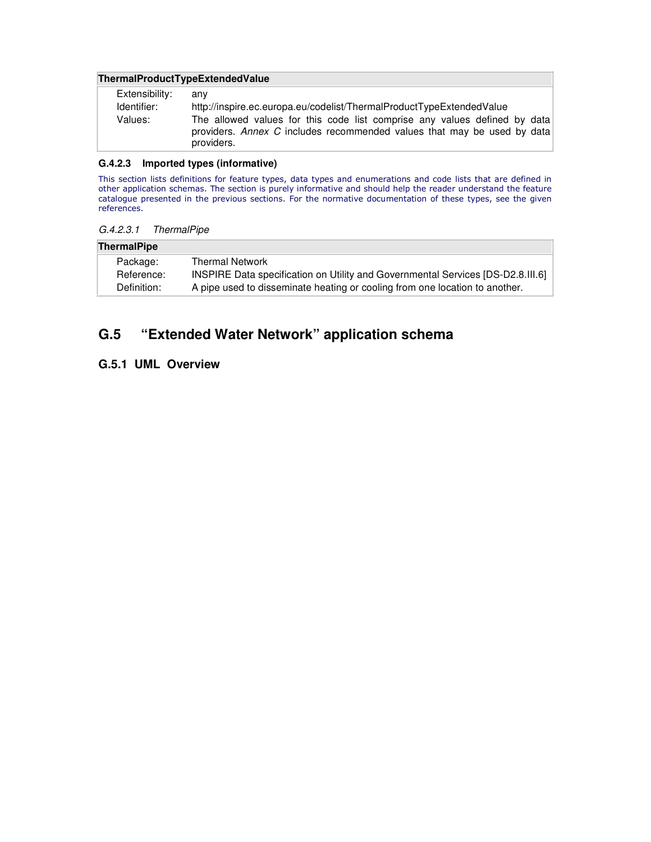#### **ThermalProductTypeExtendedValue**

| Extensibility: | anv                                                                                                                                                                |
|----------------|--------------------------------------------------------------------------------------------------------------------------------------------------------------------|
| Identifier:    | http://inspire.ec.europa.eu/codelist/ThermalProductTypeExtendedValue                                                                                               |
| Values:        | The allowed values for this code list comprise any values defined by data<br>providers. Annex C includes recommended values that may be used by data<br>providers. |

#### **G.4.2.3 Imported types (informative)**

This section lists definitions for feature types, data types and enumerations and code lists that are defined in other application schemas. The section is purely informative and should help the reader understand the feature catalogue presented in the previous sections. For the normative documentation of these types, see the given references.

#### G.4.2.3.1 ThermalPipe

#### **ThermalPipe**

| Package:    | <b>Thermal Network</b>                                                          |
|-------------|---------------------------------------------------------------------------------|
| Reference:  | INSPIRE Data specification on Utility and Governmental Services [DS-D2.8.III.6] |
| Definition: | A pipe used to disseminate heating or cooling from one location to another.     |

## **G.5 "Extended Water Network" application schema**

## **G.5.1 UML Overview**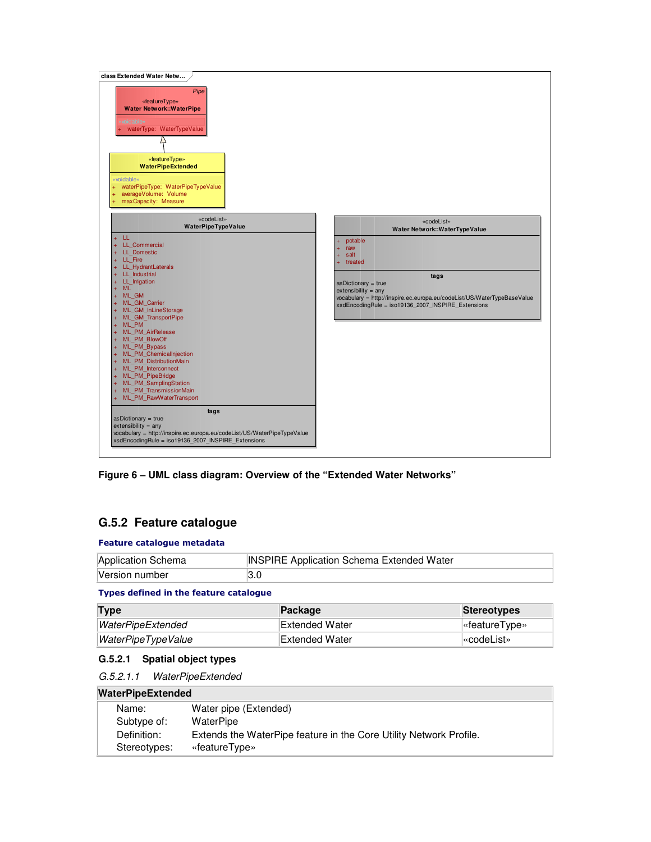

**Figure 6 – UML class diagram: Overview of the "Extended Water Networks"** 

## **G.5.2 Feature catalogue**

#### Feature catalogue metadata

| Application Schema | <b>INSPIRE Application Schema Extended Water</b> |
|--------------------|--------------------------------------------------|
| Version number     | ึง.∪                                             |

#### Types defined in the feature catalogue

| Type               | <b>Package</b> | <b>Stereotypes</b>     |
|--------------------|----------------|------------------------|
| WaterPipeExtended  | Extended Water | $\sqrt{ }$ eatureType» |
| WaterPipeTypeValue | Extended Water | l«codeList»            |

#### **G.5.2.1 Spatial object types**

| G.5.2.1.1 | <b>WaterPipeExtended</b> |
|-----------|--------------------------|
|-----------|--------------------------|

#### **WaterPipeExtended**

| Name:        | Water pipe (Extended)                                              |
|--------------|--------------------------------------------------------------------|
| Subtype of:  | WaterPipe                                                          |
| Definition:  | Extends the WaterPipe feature in the Core Utility Network Profile. |
| Stereotypes: | «featureType»                                                      |
|              |                                                                    |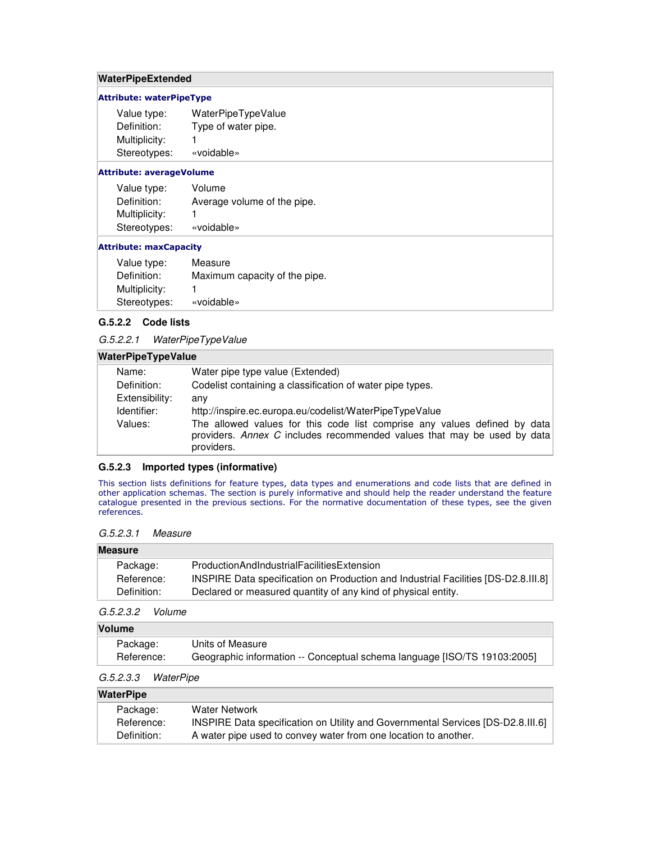#### **WaterPipeExtended**

#### Attribute: waterPipeType

| Value type:   | WaterPipeTypeValue  |
|---------------|---------------------|
| Definition:   | Type of water pipe. |
| Multiplicity: |                     |
| Stereotypes:  | «voidable»          |

#### Attribute: averageVolume

| Value type:   | Volume                      |
|---------------|-----------------------------|
| Definition:   | Average volume of the pipe. |
| Multiplicity: |                             |
| Stereotypes:  | «voidable»                  |

#### Attribute: maxCapacity

| Value type:   | Measure                       |
|---------------|-------------------------------|
| Definition:   | Maximum capacity of the pipe. |
| Multiplicity: | 1                             |
| Stereotypes:  | «voidable»                    |

#### **G.5.2.2 Code lists**

#### G.5.2.2.1 WaterPipeTypeValue

#### **WaterPipeTypeValue**

| Name:          | Water pipe type value (Extended)                                                                                                                     |
|----------------|------------------------------------------------------------------------------------------------------------------------------------------------------|
| Definition:    | Codelist containing a classification of water pipe types.                                                                                            |
| Extensibility: | anv                                                                                                                                                  |
| Identifier:    | http://inspire.ec.europa.eu/codelist/WaterPipeTypeValue                                                                                              |
| Values:        | The allowed values for this code list comprise any values defined by data<br>providers. Annex C includes recommended values that may be used by data |
|                | providers.                                                                                                                                           |

#### **G.5.2.3 Imported types (informative)**

This section lists definitions for feature types, data types and enumerations and code lists that are defined in other application schemas. The section is purely informative and should help the reader understand the feature catalogue presented in the previous sections. For the normative documentation of these types, see the given references.

#### G.5.2.3.1 Measure

## **Measure** Package: ProductionAndIndustrialFacilitiesExtension Reference: INSPIRE Data specification on Production and Industrial Facilities [DS-D2.8.III.8] Definition: Declared or measured quantity of any kind of physical entity.

#### G.5.2.3.2 Volume

#### **Volume**

| Package:   | Units of Measure                                                         |
|------------|--------------------------------------------------------------------------|
| Reference: | Geographic information -- Conceptual schema language [ISO/TS 19103:2005] |

#### G.5.2.3.3 WaterPipe

#### **WaterPipe**

| Package:    | Water Network                                                                   |
|-------------|---------------------------------------------------------------------------------|
| Reference:  | INSPIRE Data specification on Utility and Governmental Services [DS-D2.8.III.6] |
| Definition: | A water pipe used to convey water from one location to another.                 |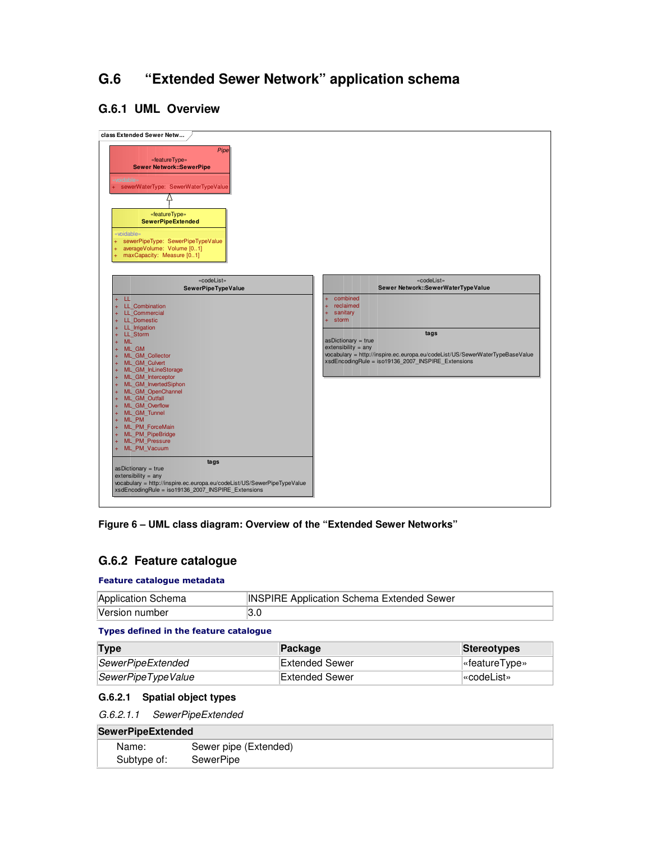## **G.6 "Extended Sewer Network" application schema**

## **G.6.1 UML Overview**



**Figure 6 – UML class diagram: Overview of the "Extended Sewer Networks"** 

## **G.6.2 Feature catalogue**

#### Feature catalogue metadata

| Application Schema | <b>INSPIRE Application Schema Extended Sewer</b> |
|--------------------|--------------------------------------------------|
| Version number     | 3.0                                              |

#### Types defined in the feature catalogue

| Type               | Package        | Stereotypes    |
|--------------------|----------------|----------------|
| SewerPipeExtended  | Extended Sewer | l«featureType» |
| SewerPipeTypeValue | Extended Sewer | l«codeList»    |

### **G.6.2.1 Spatial object types**

G.6.2.1.1 SewerPipeExtended

### **SewerPipeExtended**

| Name:       | Sewer pipe (Extended) |
|-------------|-----------------------|
| Subtype of: | SewerPipe             |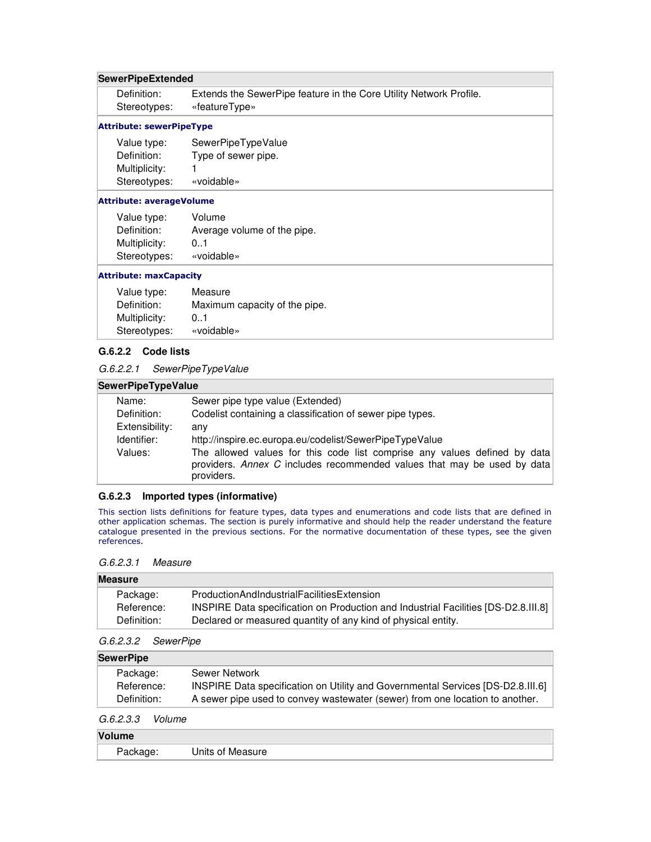#### **SewerPipeExtended**

| Definition:  | Extends the SewerPipe feature in the Core Utility Network Profile. |
|--------------|--------------------------------------------------------------------|
| Stereotypes: | «featureType»                                                      |

#### Attribute: sewerPipeType

| Value type:   | SewerPipeTypeValue  |
|---------------|---------------------|
| Definition:   | Type of sewer pipe. |
| Multiplicity: |                     |
| Stereotypes:  | «voidable»          |

#### Attribute: averageVolume

| Value type:   | Volume                      |
|---------------|-----------------------------|
| Definition:   | Average volume of the pipe. |
| Multiplicity: | 0.1                         |
| Stereotypes:  | «voidable»                  |

#### Attribute: maxCapacity

| Value type:   | Measure                       |
|---------------|-------------------------------|
| Definition:   | Maximum capacity of the pipe. |
| Multiplicity: | 0.1                           |
| Stereotypes:  | «voidable»                    |

#### **G.6.2.2 Code lists**

G.6.2.2.1 SewerPipeTypeValue

#### **SewerPipeTypeValue**

| Sewer pipe type value (Extended)                                                                                                                                   |
|--------------------------------------------------------------------------------------------------------------------------------------------------------------------|
| Codelist containing a classification of sewer pipe types.                                                                                                          |
| anv                                                                                                                                                                |
| http://inspire.ec.europa.eu/codelist/SewerPipeTypeValue                                                                                                            |
| The allowed values for this code list comprise any values defined by data<br>providers. Annex C includes recommended values that may be used by data<br>providers. |
|                                                                                                                                                                    |

#### **G.6.2.3 Imported types (informative)**

This section lists definitions for feature types, data types and enumerations and code lists that are defined in other application schemas. The section is purely informative and should help the reader understand the feature catalogue presented in the previous sections. For the normative documentation of these types, see the given references.

#### G.6.2.3.1 Measure

| Measure     |                                                               |                                                                                    |
|-------------|---------------------------------------------------------------|------------------------------------------------------------------------------------|
| Package:    | ProductionAndIndustrialFacilitiesExtension                    |                                                                                    |
| Reference:  |                                                               | INSPIRE Data specification on Production and Industrial Facilities [DS-D2.8.III.8] |
| Definition: | Declared or measured quantity of any kind of physical entity. |                                                                                    |

#### G.6.2.3.2 SewerPipe

| <b>SewerPipe</b> |                                                                                 |
|------------------|---------------------------------------------------------------------------------|
| Package:         | Sewer Network                                                                   |
| Reference:       | INSPIRE Data specification on Utility and Governmental Services [DS-D2.8.III.6] |
| Definition:      | A sewer pipe used to convey wastewater (sewer) from one location to another.    |

#### G.6.2.3.3 Volume

### **Volume**

| . . <del>.</del> |                  |  |
|------------------|------------------|--|
| aскage:          | Units of Measure |  |
|                  |                  |  |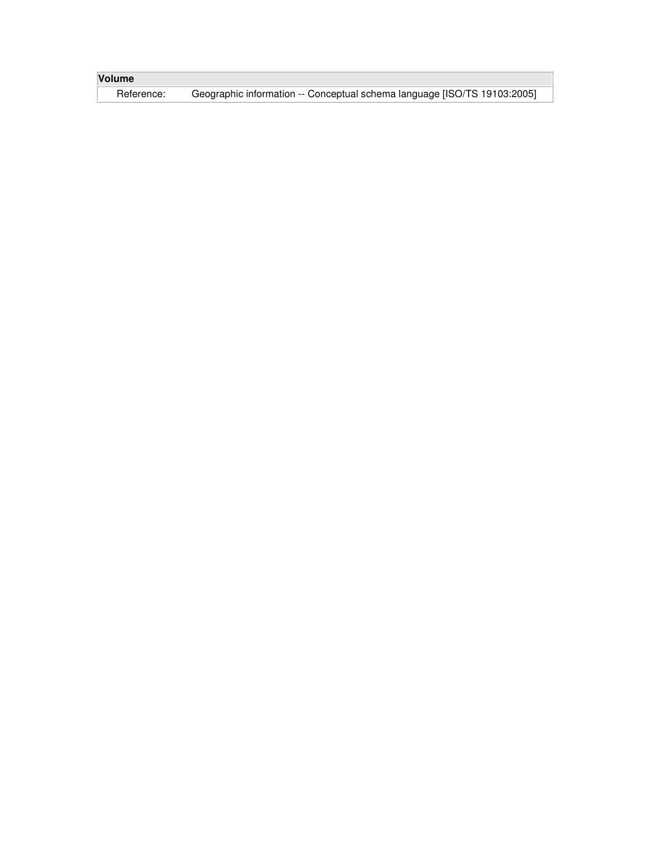| <b>Volume</b> |                                                                          |
|---------------|--------------------------------------------------------------------------|
| Reference:    | Geographic information -- Conceptual schema language [ISO/TS 19103:2005] |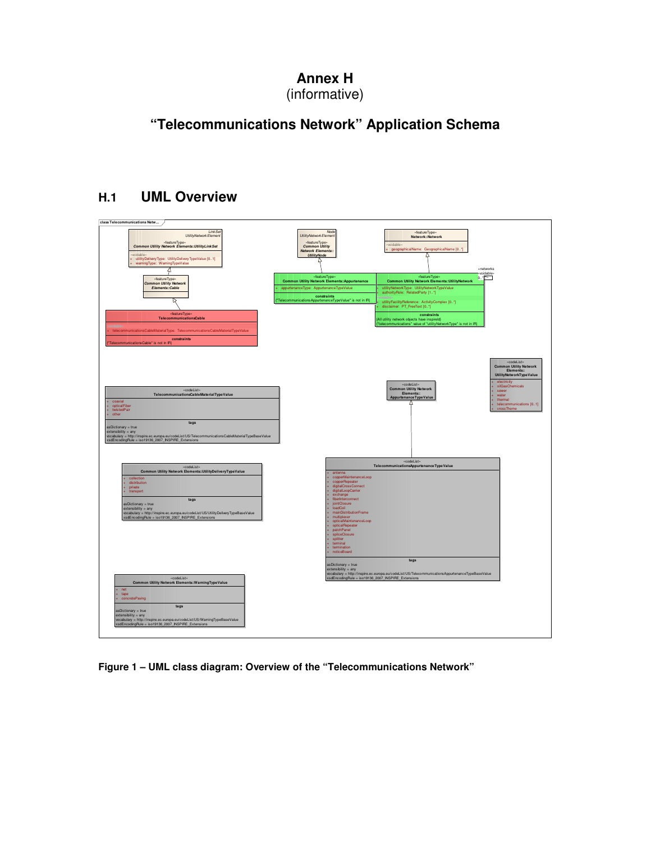## **Annex H**  (informative)

# **"Telecommunications Network" Application Schema**

## **H.1 UML Overview**



**Figure 1 – UML class diagram: Overview of the "Telecommunications Network"**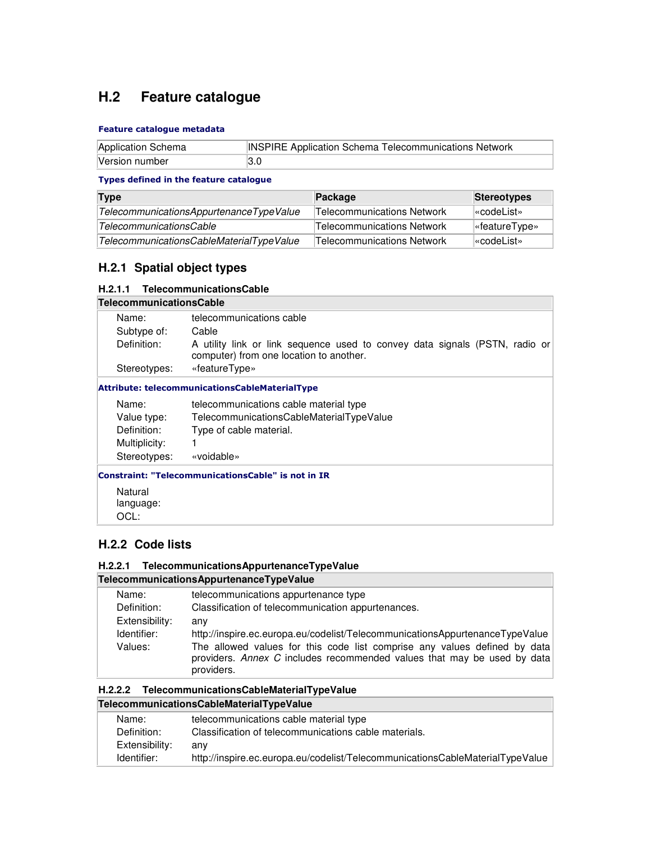## **H.2 Feature catalogue**

#### Feature catalogue metadata

| Application Schema | <b>INSPIRE Application Schema Telecommunications Network</b> |
|--------------------|--------------------------------------------------------------|
| Version number     | I3.0                                                         |

#### Types defined in the feature catalogue

| Type                                     | Package                    | <b>Stereotypes</b>               |
|------------------------------------------|----------------------------|----------------------------------|
| TelecommunicationsAppurtenanceTypeValue  | Telecommunications Network | l«codeList»                      |
| TelecommunicationsCable                  | Telecommunications Network | $\sqrt{\mathsf{``featureType*}}$ |
| TelecommunicationsCableMaterialTypeValue | Telecommunications Network | l«codeList»                      |

## **H.2.1 Spatial object types**

#### **H.2.1.1 TelecommunicationsCable**

| <b>TelecommunicationsCable</b> |                                                                                                                        |
|--------------------------------|------------------------------------------------------------------------------------------------------------------------|
| Name:                          | telecommunications cable                                                                                               |
| Subtype of:                    | Cable                                                                                                                  |
| Definition:                    | A utility link or link sequence used to convey data signals (PSTN, radio or<br>computer) from one location to another. |
| Stereotypes:                   | «featureType»                                                                                                          |
|                                | <b>Attribute: telecommunicationsCableMaterialType</b>                                                                  |
| Name:                          | telecommunications cable material type                                                                                 |
| Value type:                    | TelecommunicationsCableMaterialTypeValue                                                                               |
| Definition:                    | Type of cable material.                                                                                                |
| Multiplicity:                  |                                                                                                                        |
| Stereotypes:                   | «voidable»                                                                                                             |
|                                | <b>Constraint: "TelecommunicationsCable" is not in IR</b>                                                              |
| Natural                        |                                                                                                                        |
| language:                      |                                                                                                                        |
| OCL:                           |                                                                                                                        |

## **H.2.2 Code lists**

#### **H.2.2.1 TelecommunicationsAppurtenanceTypeValue**

|                | TelecommunicationsAppurtenanceTypeValue                                                                                                                            |
|----------------|--------------------------------------------------------------------------------------------------------------------------------------------------------------------|
| Name:          | telecommunications appurtenance type                                                                                                                               |
| Definition:    | Classification of telecommunication appurtenances.                                                                                                                 |
| Extensibility: | any                                                                                                                                                                |
| Identifier:    | http://inspire.ec.europa.eu/codelist/TelecommunicationsAppurtenanceTypeValue                                                                                       |
| Values:        | The allowed values for this code list comprise any values defined by data<br>providers. Annex C includes recommended values that may be used by data<br>providers. |
|                |                                                                                                                                                                    |

#### **H.2.2.2 TelecommunicationsCableMaterialTypeValue TelecommunicationsCableMaterialTypeValue**

| Name:          | telecommunications cable material type                                        |
|----------------|-------------------------------------------------------------------------------|
| Definition:    | Classification of telecommunications cable materials.                         |
| Extensibility: | anv                                                                           |
| Identifier:    | http://inspire.ec.europa.eu/codelist/TelecommunicationsCableMaterialTypeValue |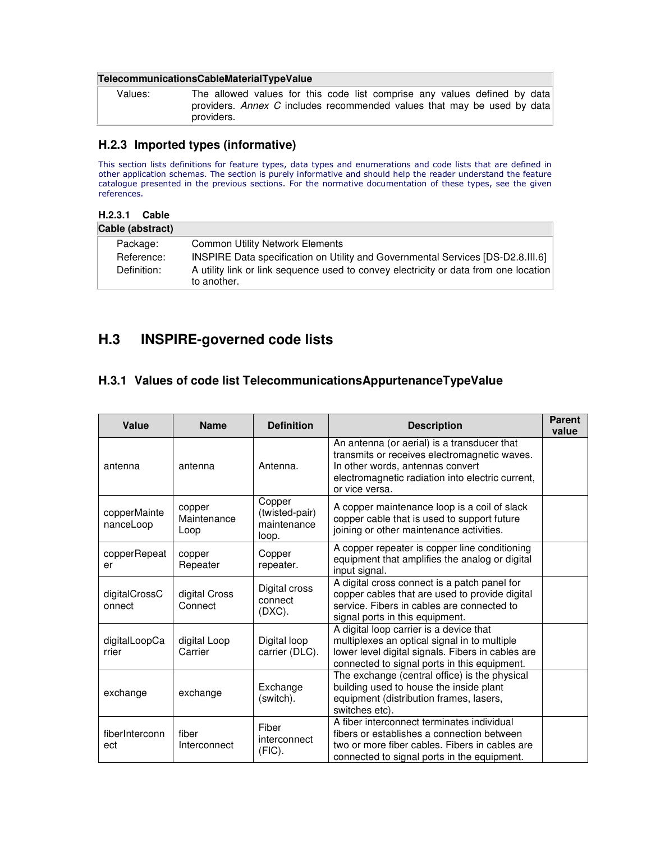#### **TelecommunicationsCableMaterialTypeValue**

| Values: | The allowed values for this code list comprise any values defined by data             |
|---------|---------------------------------------------------------------------------------------|
|         | providers. Annex C includes recommended values that may be used by data<br>providers. |

## **H.2.3 Imported types (informative)**

This section lists definitions for feature types, data types and enumerations and code lists that are defined in other application schemas. The section is purely informative and should help the reader understand the feature catalogue presented in the previous sections. For the normative documentation of these types, see the given references.

#### **H.2.3.1 Cable**

| Cable (abstract) |                                                                                                     |
|------------------|-----------------------------------------------------------------------------------------------------|
| Package:         | <b>Common Utility Network Elements</b>                                                              |
| Reference:       | INSPIRE Data specification on Utility and Governmental Services [DS-D2.8.III.6]                     |
| Definition:      | A utility link or link sequence used to convey electricity or data from one location<br>to another. |

## **H.3 INSPIRE-governed code lists**

## **H.3.1 Values of code list TelecommunicationsAppurtenanceTypeValue**

| Value                     | <b>Name</b>                   | <b>Definition</b>                                | <b>Description</b>                                                                                                                                                                                    | <b>Parent</b><br>value |
|---------------------------|-------------------------------|--------------------------------------------------|-------------------------------------------------------------------------------------------------------------------------------------------------------------------------------------------------------|------------------------|
| antenna                   | antenna                       | Antenna.                                         | An antenna (or aerial) is a transducer that<br>transmits or receives electromagnetic waves.<br>In other words, antennas convert<br>electromagnetic radiation into electric current,<br>or vice versa. |                        |
| copperMainte<br>nanceLoop | copper<br>Maintenance<br>Loop | Copper<br>(twisted-pair)<br>maintenance<br>loop. | A copper maintenance loop is a coil of slack<br>copper cable that is used to support future<br>joining or other maintenance activities.                                                               |                        |
| copperRepeat<br>er        | copper<br>Repeater            | Copper<br>repeater.                              | A copper repeater is copper line conditioning<br>equipment that amplifies the analog or digital<br>input signal.                                                                                      |                        |
| digitalCrossC<br>onnect   | digital Cross<br>Connect      | Digital cross<br>connect<br>(DXC).               | A digital cross connect is a patch panel for<br>copper cables that are used to provide digital<br>service. Fibers in cables are connected to<br>signal ports in this equipment.                       |                        |
| digitalLoopCa<br>rrier    | digital Loop<br>Carrier       | Digital loop<br>carrier (DLC).                   | A digital loop carrier is a device that<br>multiplexes an optical signal in to multiple<br>lower level digital signals. Fibers in cables are<br>connected to signal ports in this equipment.          |                        |
| exchange                  | exchange                      | Exchange<br>(switch).                            | The exchange (central office) is the physical<br>building used to house the inside plant<br>equipment (distribution frames, lasers,<br>switches etc).                                                 |                        |
| fiberInterconn<br>ect     | fiber<br>Interconnect         | Fiber<br>interconnect<br>(FIC).                  | A fiber interconnect terminates individual<br>fibers or establishes a connection between<br>two or more fiber cables. Fibers in cables are<br>connected to signal ports in the equipment.             |                        |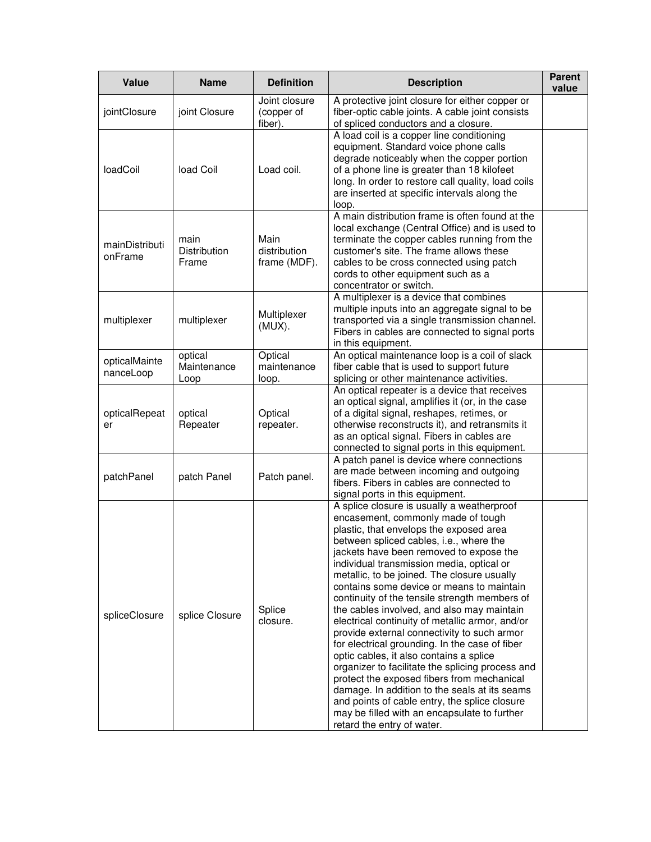| Value                      | <b>Name</b>                    | <b>Definition</b>                      | <b>Description</b>                                                                                                                                                                                                                                                                                                                                                                                                                                                                                                                                                                                                                                                                                                                                                                                                                                                                                                                         | <b>Parent</b><br>value |
|----------------------------|--------------------------------|----------------------------------------|--------------------------------------------------------------------------------------------------------------------------------------------------------------------------------------------------------------------------------------------------------------------------------------------------------------------------------------------------------------------------------------------------------------------------------------------------------------------------------------------------------------------------------------------------------------------------------------------------------------------------------------------------------------------------------------------------------------------------------------------------------------------------------------------------------------------------------------------------------------------------------------------------------------------------------------------|------------------------|
| jointClosure               | joint Closure                  | Joint closure<br>(copper of<br>fiber). | A protective joint closure for either copper or<br>fiber-optic cable joints. A cable joint consists<br>of spliced conductors and a closure.                                                                                                                                                                                                                                                                                                                                                                                                                                                                                                                                                                                                                                                                                                                                                                                                |                        |
| loadCoil                   | load Coil                      | Load coil.                             | A load coil is a copper line conditioning<br>equipment. Standard voice phone calls<br>degrade noticeably when the copper portion<br>of a phone line is greater than 18 kilofeet<br>long. In order to restore call quality, load coils<br>are inserted at specific intervals along the<br>loop.                                                                                                                                                                                                                                                                                                                                                                                                                                                                                                                                                                                                                                             |                        |
| mainDistributi<br>onFrame  | main<br>Distribution<br>Frame  | Main<br>distribution<br>frame (MDF).   | A main distribution frame is often found at the<br>local exchange (Central Office) and is used to<br>terminate the copper cables running from the<br>customer's site. The frame allows these<br>cables to be cross connected using patch<br>cords to other equipment such as a<br>concentrator or switch.                                                                                                                                                                                                                                                                                                                                                                                                                                                                                                                                                                                                                                  |                        |
| multiplexer                | multiplexer                    | Multiplexer<br>$(MUX)$ .               | A multiplexer is a device that combines<br>multiple inputs into an aggregate signal to be<br>transported via a single transmission channel.<br>Fibers in cables are connected to signal ports<br>in this equipment.                                                                                                                                                                                                                                                                                                                                                                                                                                                                                                                                                                                                                                                                                                                        |                        |
| opticalMainte<br>nanceLoop | optical<br>Maintenance<br>Loop | Optical<br>maintenance<br>loop.        | An optical maintenance loop is a coil of slack<br>fiber cable that is used to support future<br>splicing or other maintenance activities.                                                                                                                                                                                                                                                                                                                                                                                                                                                                                                                                                                                                                                                                                                                                                                                                  |                        |
| opticalRepeat<br>er        | optical<br>Repeater            | Optical<br>repeater.                   | An optical repeater is a device that receives<br>an optical signal, amplifies it (or, in the case<br>of a digital signal, reshapes, retimes, or<br>otherwise reconstructs it), and retransmits it<br>as an optical signal. Fibers in cables are<br>connected to signal ports in this equipment.                                                                                                                                                                                                                                                                                                                                                                                                                                                                                                                                                                                                                                            |                        |
| patchPanel                 | patch Panel                    | Patch panel.                           | A patch panel is device where connections<br>are made between incoming and outgoing<br>fibers. Fibers in cables are connected to<br>signal ports in this equipment.                                                                                                                                                                                                                                                                                                                                                                                                                                                                                                                                                                                                                                                                                                                                                                        |                        |
| spliceClosure              | splice Closure                 | Splice<br>closure.                     | A splice closure is usually a weatherproof<br>encasement, commonly made of tough<br>plastic, that envelops the exposed area<br>between spliced cables, i.e., where the<br>jackets have been removed to expose the<br>individual transmission media, optical or<br>metallic, to be joined. The closure usually<br>contains some device or means to maintain<br>continuity of the tensile strength members of<br>the cables involved, and also may maintain<br>electrical continuity of metallic armor, and/or<br>provide external connectivity to such armor<br>for electrical grounding. In the case of fiber<br>optic cables, it also contains a splice<br>organizer to facilitate the splicing process and<br>protect the exposed fibers from mechanical<br>damage. In addition to the seals at its seams<br>and points of cable entry, the splice closure<br>may be filled with an encapsulate to further<br>retard the entry of water. |                        |